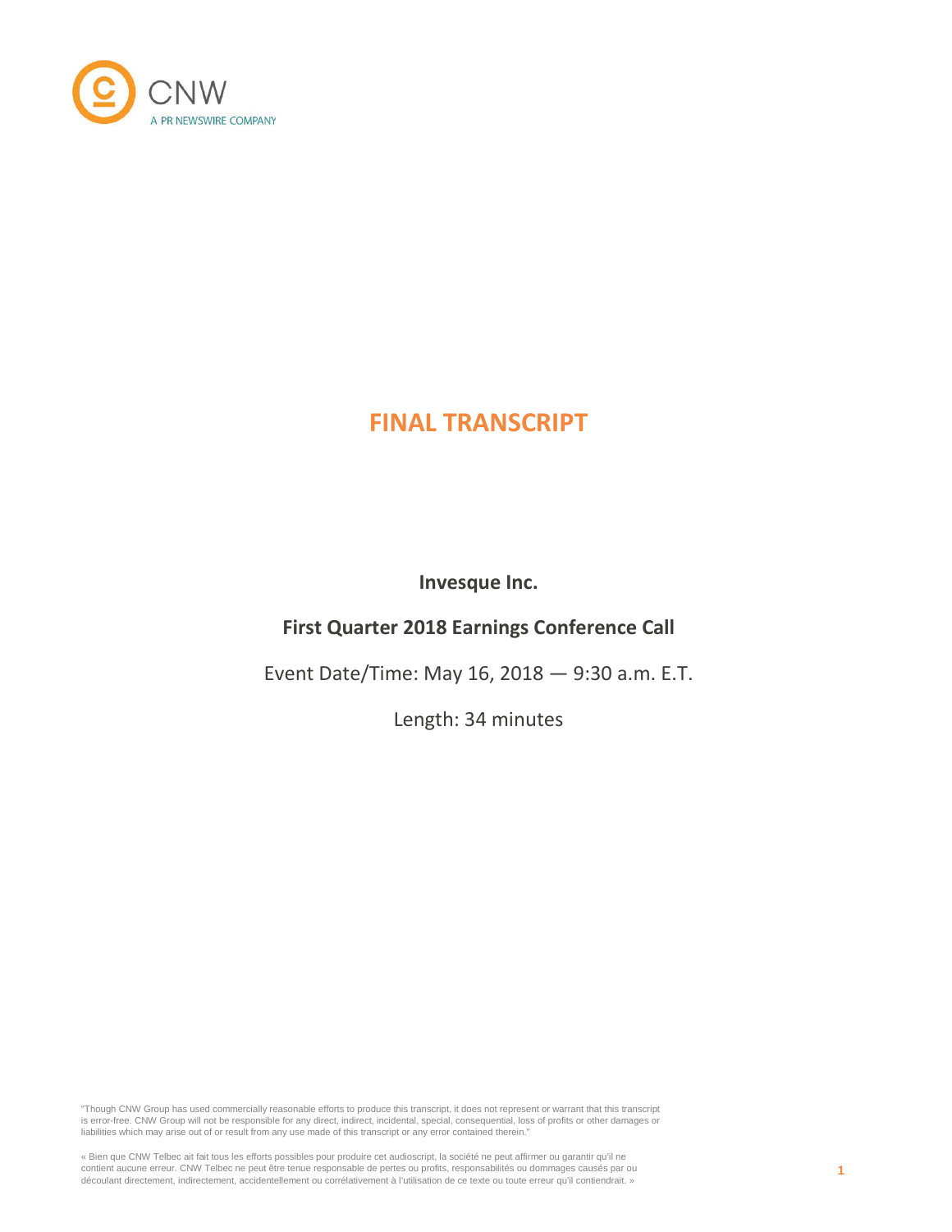

# **FINAL TRANSCRIPT**

**Invesque Inc.**

# **First Quarter 2018 Earnings Conference Call**

Event Date/Time: May 16, 2018 — 9:30 a.m. E.T.

Length: 34 minutes

"Though CNW Group has used commercially reasonable efforts to produce this transcript, it does not represent or warrant that this transcript is error-free. CNW Group will not be responsible for any direct, indirect, incidental, special, consequential, loss of profits or other damages or liabilities which may arise out of or result from any use made of this transcript or any error contained therein."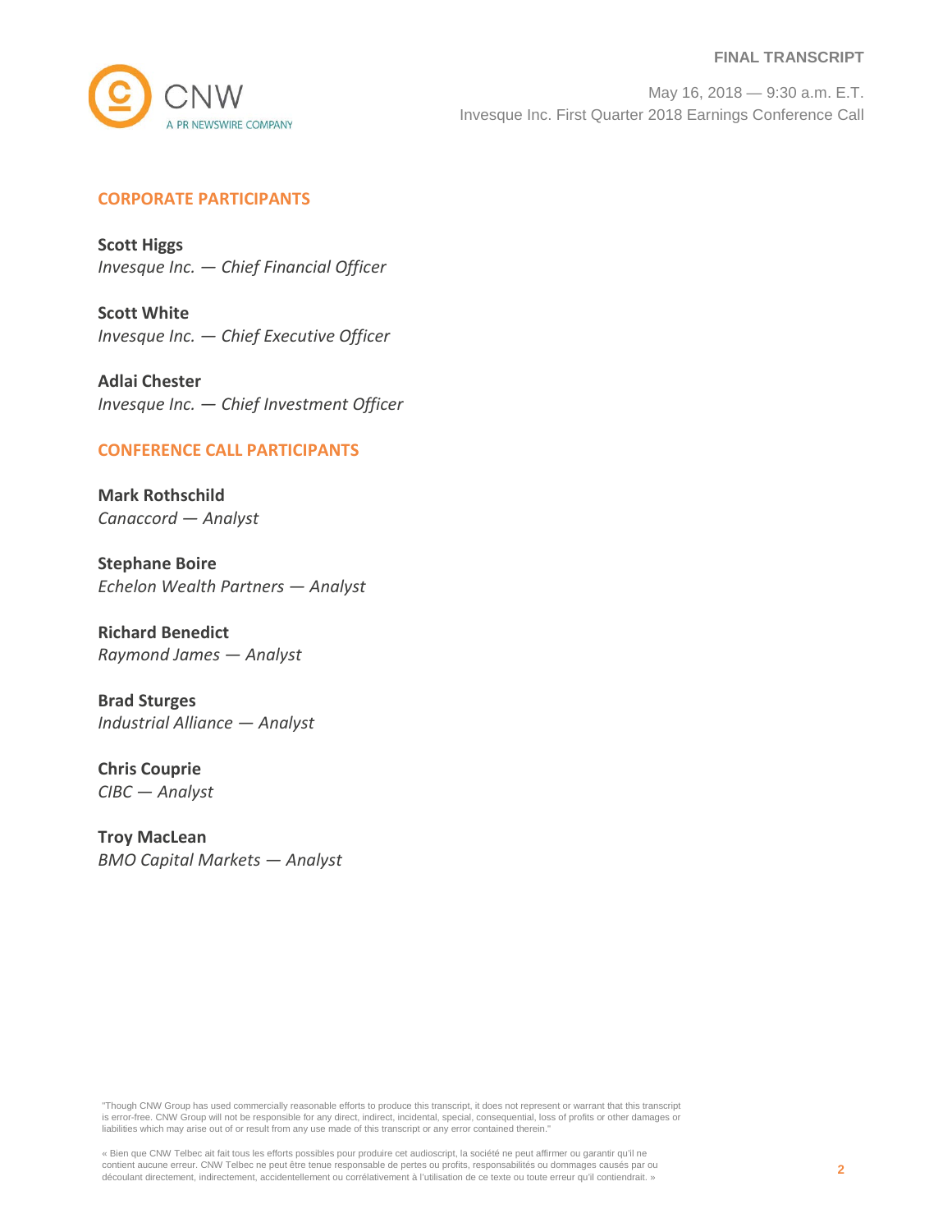#### **FINAL TRANSCRIPT**



May 16, 2018 — 9:30 a.m. E.T. Invesque Inc. First Quarter 2018 Earnings Conference Call

# **CORPORATE PARTICIPANTS**

**Scott Higgs** *Invesque Inc. — Chief Financial Officer*

**Scott White** *Invesque Inc. — Chief Executive Officer*

**Adlai Chester** *Invesque Inc. — Chief Investment Officer*

# **CONFERENCE CALL PARTICIPANTS**

**Mark Rothschild** *Canaccord — Analyst*

**Stephane Boire** *Echelon Wealth Partners — Analyst*

**Richard Benedict** *Raymond James — Analyst*

**Brad Sturges** *Industrial Alliance — Analyst*

**Chris Couprie** *CIBC — Analyst*

**Troy MacLean** *BMO Capital Markets — Analyst*

"Though CNW Group has used commercially reasonable efforts to produce this transcript, it does not represent or warrant that this transcript is error-free. CNW Group will not be responsible for any direct, indirect, incidental, special, consequential, loss of profits or other damages or liabilities which may arise out of or result from any use made of this transcript or any error contained therein."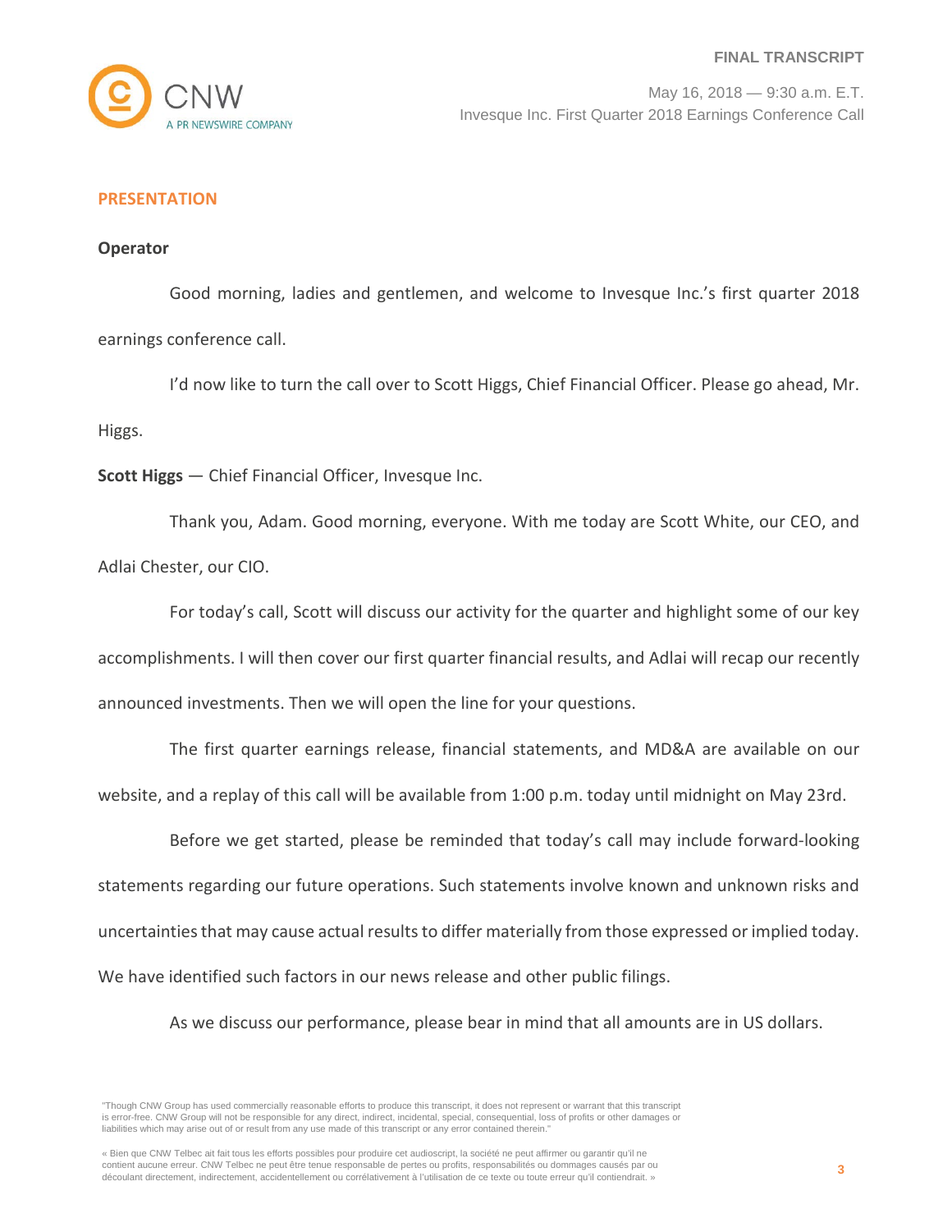

# **PRESENTATION**

# **Operator**

Good morning, ladies and gentlemen, and welcome to Invesque Inc.'s first quarter 2018 earnings conference call.

I'd now like to turn the call over to Scott Higgs, Chief Financial Officer. Please go ahead, Mr. Higgs.

**Scott Higgs** — Chief Financial Officer, Invesque Inc.

Thank you, Adam. Good morning, everyone. With me today are Scott White, our CEO, and Adlai Chester, our CIO.

For today's call, Scott will discuss our activity for the quarter and highlight some of our key accomplishments. I will then cover our first quarter financial results, and Adlai will recap our recently announced investments. Then we will open the line for your questions.

The first quarter earnings release, financial statements, and MD&A are available on our website, and a replay of this call will be available from 1:00 p.m. today until midnight on May 23rd.

Before we get started, please be reminded that today's call may include forward-looking statements regarding our future operations. Such statements involve known and unknown risks and uncertainties that may cause actual results to differ materially from those expressed or implied today. We have identified such factors in our news release and other public filings.

As we discuss our performance, please bear in mind that all amounts are in US dollars.

"Though CNW Group has used commercially reasonable efforts to produce this transcript, it does not represent or warrant that this transcript is error-free. CNW Group will not be responsible for any direct, indirect, incidental, special, consequential, loss of profits or other damages or liabilities which may arise out of or result from any use made of this transcript or any error contained therein."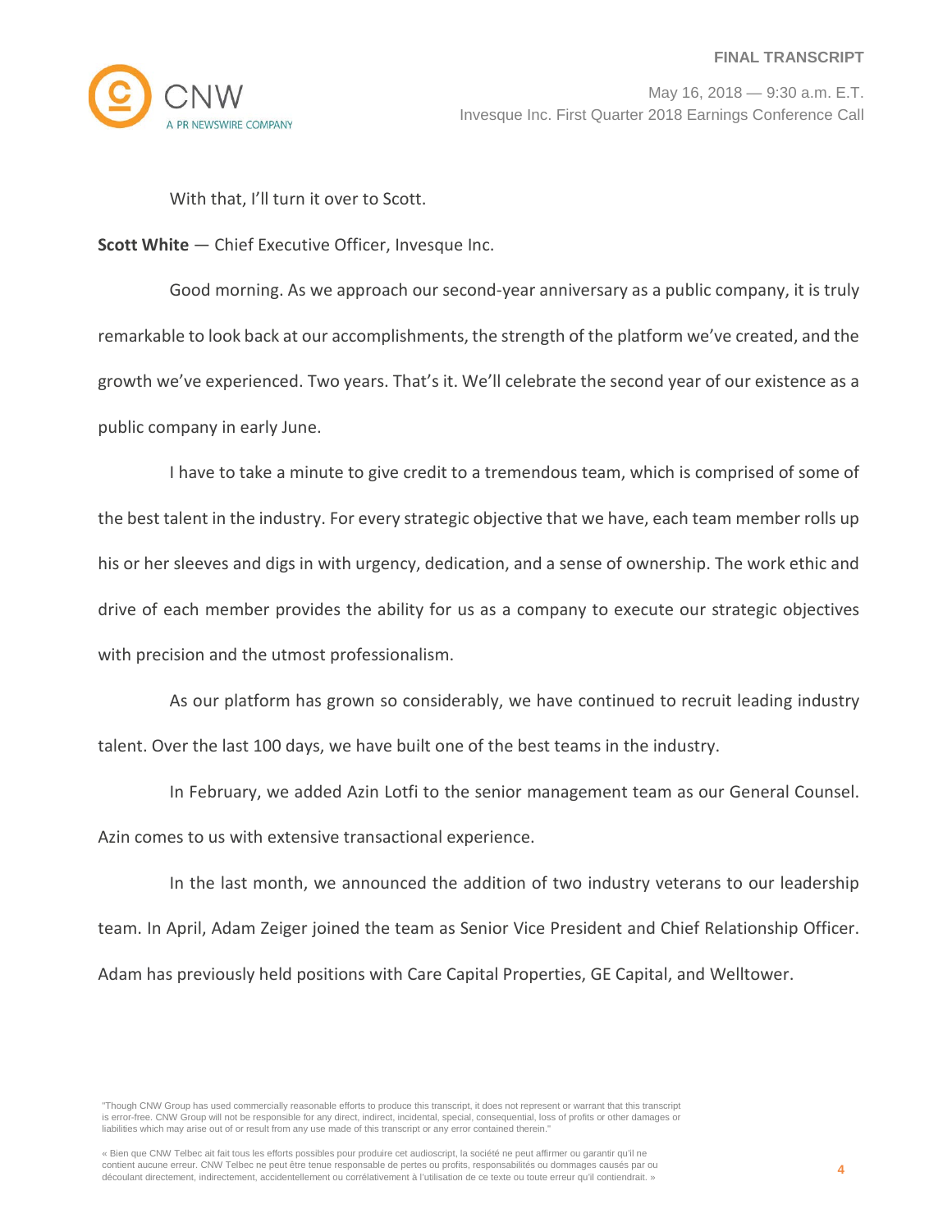

With that, I'll turn it over to Scott.

**Scott White** — Chief Executive Officer, Invesque Inc.

Good morning. As we approach our second-year anniversary as a public company, it is truly remarkable to look back at our accomplishments, the strength of the platform we've created, and the growth we've experienced. Two years. That's it. We'll celebrate the second year of our existence as a public company in early June.

I have to take a minute to give credit to a tremendous team, which is comprised of some of the best talent in the industry. For every strategic objective that we have, each team member rolls up his or her sleeves and digs in with urgency, dedication, and a sense of ownership. The work ethic and drive of each member provides the ability for us as a company to execute our strategic objectives with precision and the utmost professionalism.

As our platform has grown so considerably, we have continued to recruit leading industry talent. Over the last 100 days, we have built one of the best teams in the industry.

In February, we added Azin Lotfi to the senior management team as our General Counsel. Azin comes to us with extensive transactional experience.

In the last month, we announced the addition of two industry veterans to our leadership team. In April, Adam Zeiger joined the team as Senior Vice President and Chief Relationship Officer. Adam has previously held positions with Care Capital Properties, GE Capital, and Welltower.

"Though CNW Group has used commercially reasonable efforts to produce this transcript, it does not represent or warrant that this transcript is error-free. CNW Group will not be responsible for any direct, indirect, incidental, special, consequential, loss of profits or other damages or liabilities which may arise out of or result from any use made of this transcript or any error contained therein."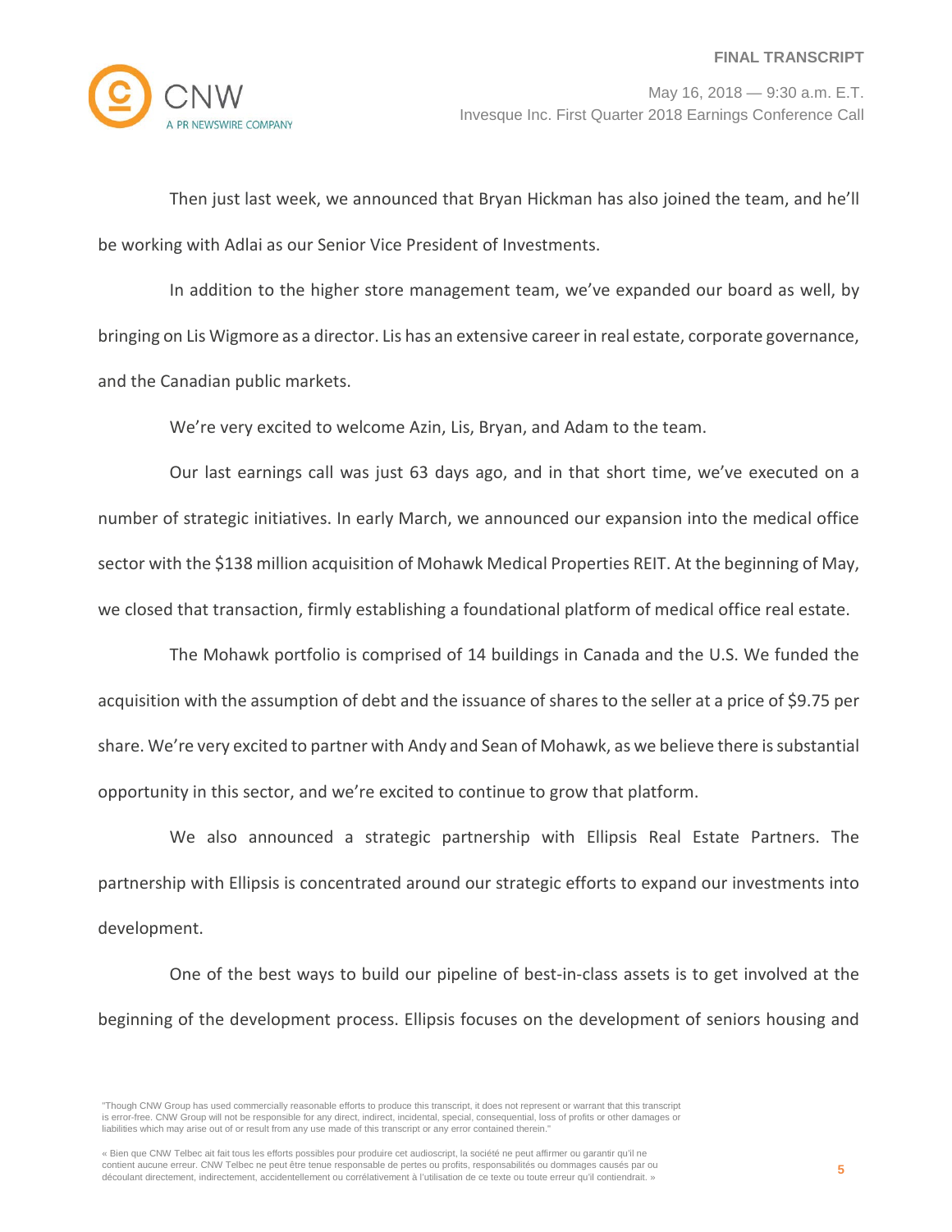

Then just last week, we announced that Bryan Hickman has also joined the team, and he'll be working with Adlai as our Senior Vice President of Investments.

In addition to the higher store management team, we've expanded our board as well, by bringing on Lis Wigmore as a director. Lis has an extensive career in real estate, corporate governance, and the Canadian public markets.

We're very excited to welcome Azin, Lis, Bryan, and Adam to the team.

Our last earnings call was just 63 days ago, and in that short time, we've executed on a number of strategic initiatives. In early March, we announced our expansion into the medical office sector with the \$138 million acquisition of Mohawk Medical Properties REIT. At the beginning of May, we closed that transaction, firmly establishing a foundational platform of medical office real estate.

The Mohawk portfolio is comprised of 14 buildings in Canada and the U.S. We funded the acquisition with the assumption of debt and the issuance of shares to the seller at a price of \$9.75 per share. We're very excited to partner with Andy and Sean of Mohawk, as we believe there is substantial opportunity in this sector, and we're excited to continue to grow that platform.

We also announced a strategic partnership with Ellipsis Real Estate Partners. The partnership with Ellipsis is concentrated around our strategic efforts to expand our investments into development.

One of the best ways to build our pipeline of best-in-class assets is to get involved at the beginning of the development process. Ellipsis focuses on the development of seniors housing and

<sup>&</sup>quot;Though CNW Group has used commercially reasonable efforts to produce this transcript, it does not represent or warrant that this transcript is error-free. CNW Group will not be responsible for any direct, indirect, incidental, special, consequential, loss of profits or other damages or liabilities which may arise out of or result from any use made of this transcript or any error contained therein."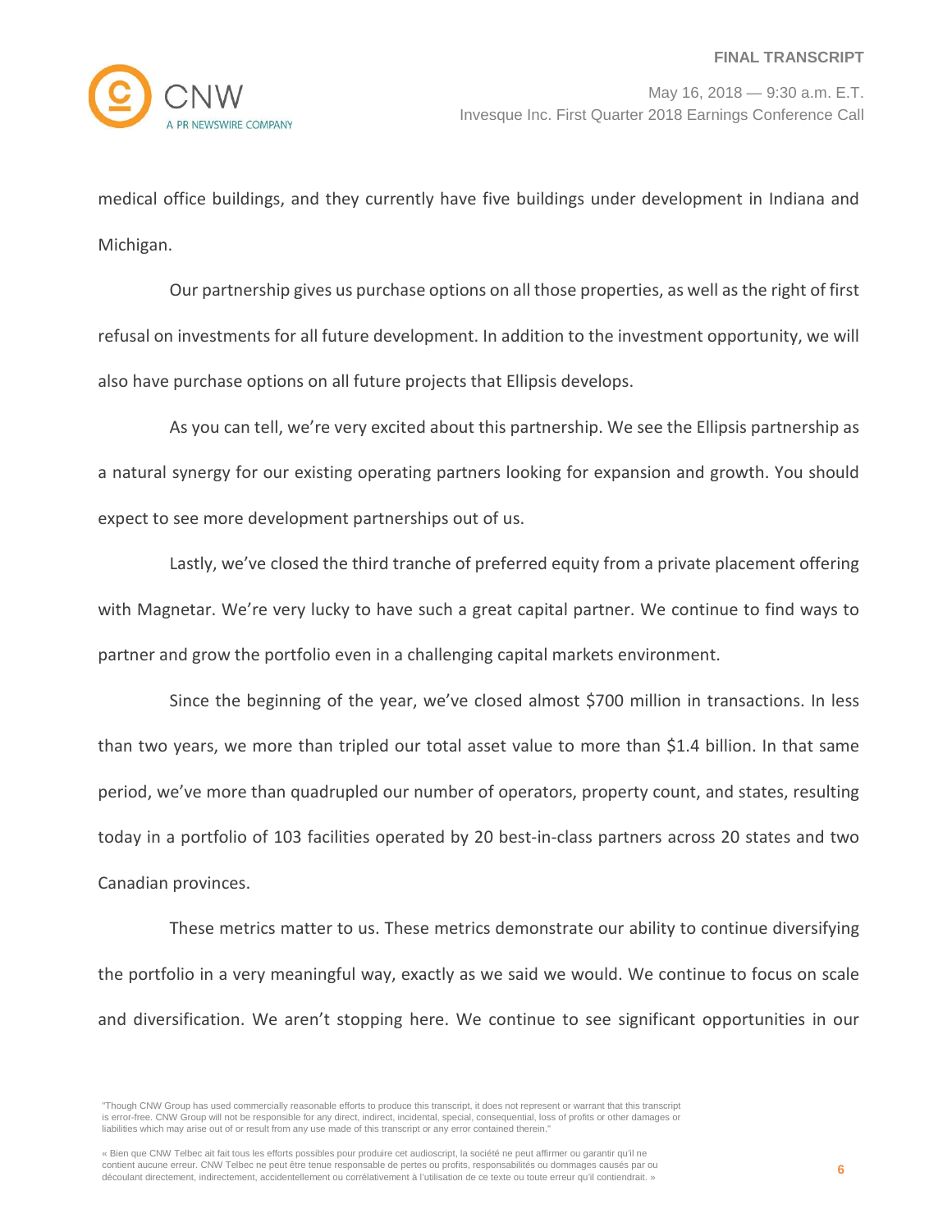

medical office buildings, and they currently have five buildings under development in Indiana and Michigan.

Our partnership gives us purchase options on all those properties, as well as the right of first refusal on investments for all future development. In addition to the investment opportunity, we will also have purchase options on all future projects that Ellipsis develops.

As you can tell, we're very excited about this partnership. We see the Ellipsis partnership as a natural synergy for our existing operating partners looking for expansion and growth. You should expect to see more development partnerships out of us.

Lastly, we've closed the third tranche of preferred equity from a private placement offering with Magnetar. We're very lucky to have such a great capital partner. We continue to find ways to partner and grow the portfolio even in a challenging capital markets environment.

Since the beginning of the year, we've closed almost \$700 million in transactions. In less than two years, we more than tripled our total asset value to more than \$1.4 billion. In that same period, we've more than quadrupled our number of operators, property count, and states, resulting today in a portfolio of 103 facilities operated by 20 best-in-class partners across 20 states and two Canadian provinces.

These metrics matter to us. These metrics demonstrate our ability to continue diversifying the portfolio in a very meaningful way, exactly as we said we would. We continue to focus on scale and diversification. We aren't stopping here. We continue to see significant opportunities in our

<sup>&</sup>quot;Though CNW Group has used commercially reasonable efforts to produce this transcript, it does not represent or warrant that this transcript is error-free. CNW Group will not be responsible for any direct, indirect, incidental, special, consequential, loss of profits or other damages or liabilities which may arise out of or result from any use made of this transcript or any error contained therein."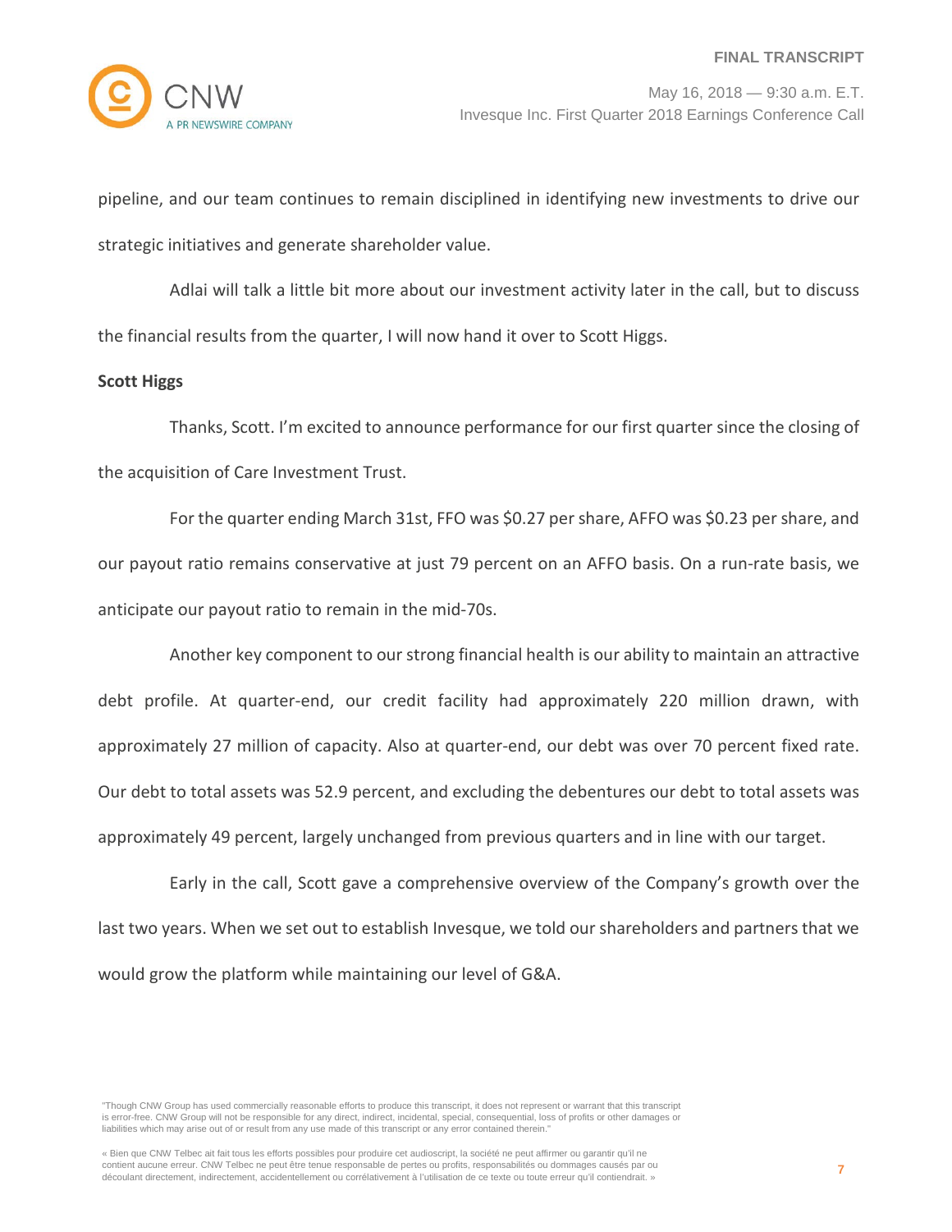pipeline, and our team continues to remain disciplined in identifying new investments to drive our strategic initiatives and generate shareholder value.

Adlai will talk a little bit more about our investment activity later in the call, but to discuss the financial results from the quarter, I will now hand it over to Scott Higgs.

# **Scott Higgs**

Thanks, Scott. I'm excited to announce performance for our first quarter since the closing of the acquisition of Care Investment Trust.

For the quarter ending March 31st, FFO was \$0.27 per share, AFFO was \$0.23 per share, and our payout ratio remains conservative at just 79 percent on an AFFO basis. On a run-rate basis, we anticipate our payout ratio to remain in the mid-70s.

Another key component to our strong financial health is our ability to maintain an attractive debt profile. At quarter-end, our credit facility had approximately 220 million drawn, with approximately 27 million of capacity. Also at quarter-end, our debt was over 70 percent fixed rate. Our debt to total assets was 52.9 percent, and excluding the debentures our debt to total assets was approximately 49 percent, largely unchanged from previous quarters and in line with our target.

Early in the call, Scott gave a comprehensive overview of the Company's growth over the last two years. When we set out to establish Invesque, we told our shareholders and partners that we would grow the platform while maintaining our level of G&A.

"Though CNW Group has used commercially reasonable efforts to produce this transcript, it does not represent or warrant that this transcript is error-free. CNW Group will not be responsible for any direct, indirect, incidental, special, consequential, loss of profits or other damages or liabilities which may arise out of or result from any use made of this transcript or any error contained therein."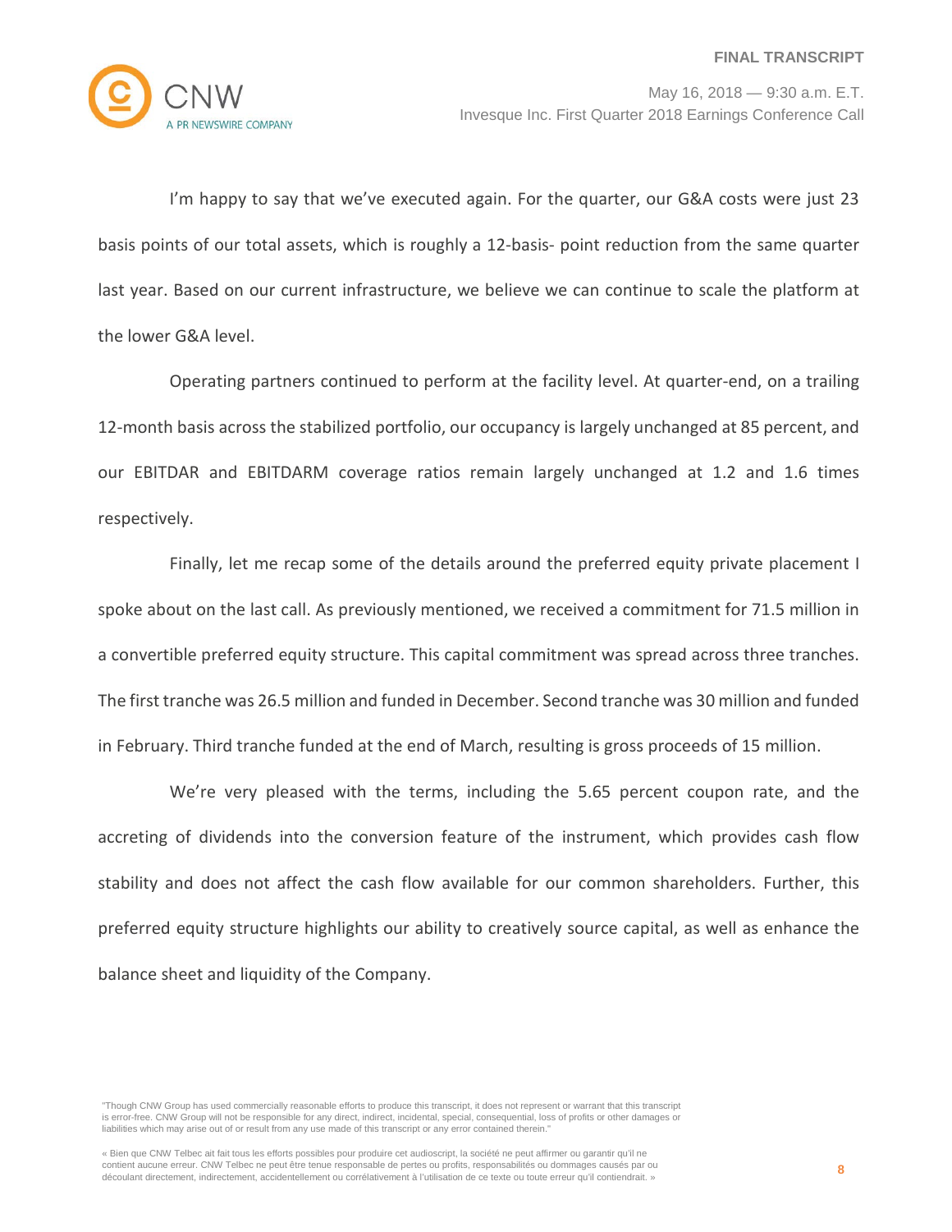

I'm happy to say that we've executed again. For the quarter, our G&A costs were just 23 basis points of our total assets, which is roughly a 12-basis- point reduction from the same quarter last year. Based on our current infrastructure, we believe we can continue to scale the platform at the lower G&A level.

Operating partners continued to perform at the facility level. At quarter-end, on a trailing 12-month basis across the stabilized portfolio, our occupancy is largely unchanged at 85 percent, and our EBITDAR and EBITDARM coverage ratios remain largely unchanged at 1.2 and 1.6 times respectively.

Finally, let me recap some of the details around the preferred equity private placement I spoke about on the last call. As previously mentioned, we received a commitment for 71.5 million in a convertible preferred equity structure. This capital commitment was spread across three tranches. The first tranche was 26.5 million and funded in December. Second tranche was 30 million and funded in February. Third tranche funded at the end of March, resulting is gross proceeds of 15 million.

We're very pleased with the terms, including the 5.65 percent coupon rate, and the accreting of dividends into the conversion feature of the instrument, which provides cash flow stability and does not affect the cash flow available for our common shareholders. Further, this preferred equity structure highlights our ability to creatively source capital, as well as enhance the balance sheet and liquidity of the Company.

"Though CNW Group has used commercially reasonable efforts to produce this transcript, it does not represent or warrant that this transcript is error-free. CNW Group will not be responsible for any direct, indirect, incidental, special, consequential, loss of profits or other damages or liabilities which may arise out of or result from any use made of this transcript or any error contained therein."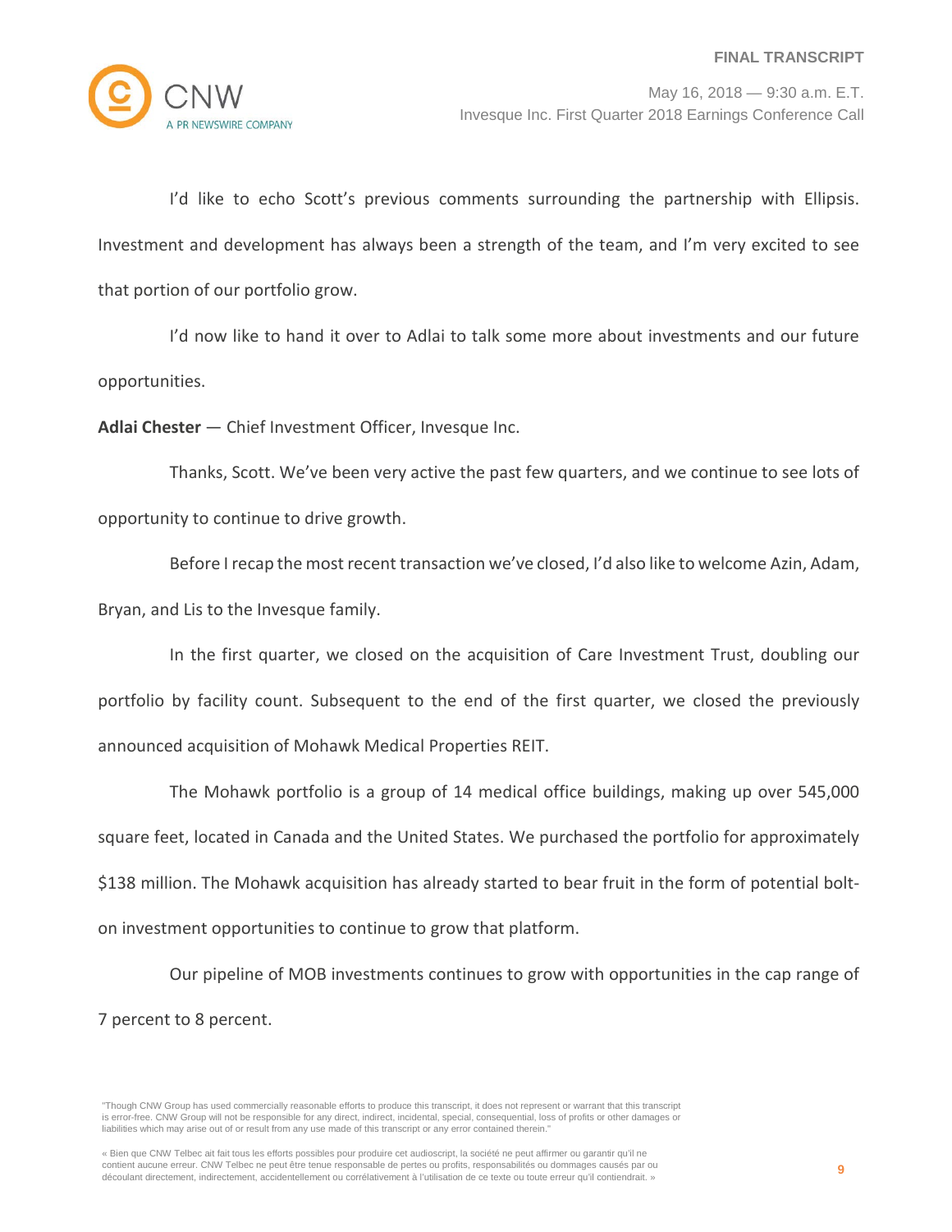

I'd like to echo Scott's previous comments surrounding the partnership with Ellipsis. Investment and development has always been a strength of the team, and I'm very excited to see that portion of our portfolio grow.

I'd now like to hand it over to Adlai to talk some more about investments and our future opportunities.

**Adlai Chester** — Chief Investment Officer, Invesque Inc.

Thanks, Scott. We've been very active the past few quarters, and we continue to see lots of opportunity to continue to drive growth.

Before I recap the most recent transaction we've closed, I'd also like to welcome Azin, Adam, Bryan, and Lis to the Invesque family.

In the first quarter, we closed on the acquisition of Care Investment Trust, doubling our portfolio by facility count. Subsequent to the end of the first quarter, we closed the previously announced acquisition of Mohawk Medical Properties REIT.

The Mohawk portfolio is a group of 14 medical office buildings, making up over 545,000 square feet, located in Canada and the United States. We purchased the portfolio for approximately \$138 million. The Mohawk acquisition has already started to bear fruit in the form of potential bolton investment opportunities to continue to grow that platform.

Our pipeline of MOB investments continues to grow with opportunities in the cap range of 7 percent to 8 percent.

<sup>&</sup>quot;Though CNW Group has used commercially reasonable efforts to produce this transcript, it does not represent or warrant that this transcript is error-free. CNW Group will not be responsible for any direct, indirect, incidental, special, consequential, loss of profits or other damages or liabilities which may arise out of or result from any use made of this transcript or any error contained therein."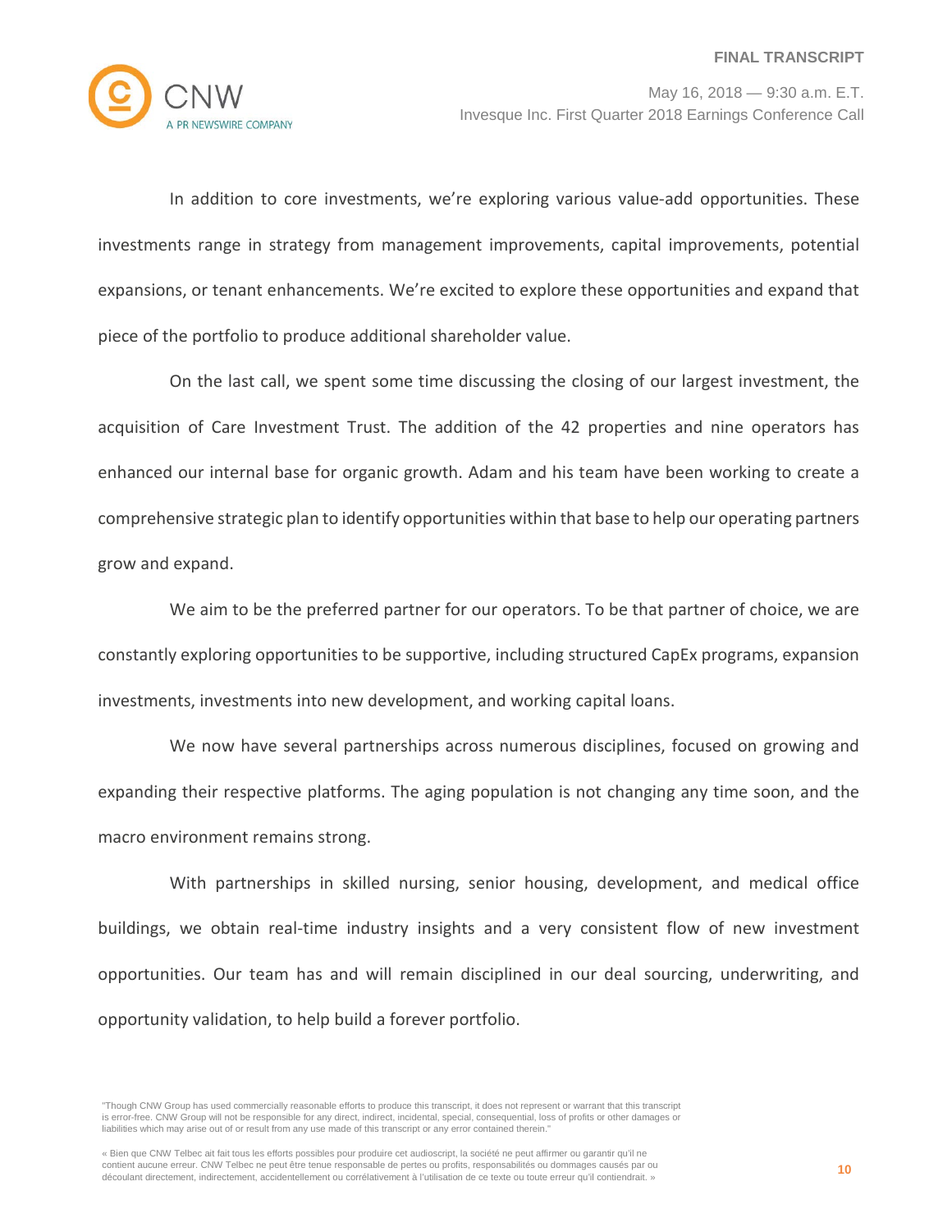

In addition to core investments, we're exploring various value-add opportunities. These investments range in strategy from management improvements, capital improvements, potential expansions, or tenant enhancements. We're excited to explore these opportunities and expand that piece of the portfolio to produce additional shareholder value.

On the last call, we spent some time discussing the closing of our largest investment, the acquisition of Care Investment Trust. The addition of the 42 properties and nine operators has enhanced our internal base for organic growth. Adam and his team have been working to create a comprehensive strategic plan to identify opportunities within that base to help our operating partners grow and expand.

We aim to be the preferred partner for our operators. To be that partner of choice, we are constantly exploring opportunities to be supportive, including structured CapEx programs, expansion investments, investments into new development, and working capital loans.

We now have several partnerships across numerous disciplines, focused on growing and expanding their respective platforms. The aging population is not changing any time soon, and the macro environment remains strong.

With partnerships in skilled nursing, senior housing, development, and medical office buildings, we obtain real-time industry insights and a very consistent flow of new investment opportunities. Our team has and will remain disciplined in our deal sourcing, underwriting, and opportunity validation, to help build a forever portfolio.

<sup>&</sup>quot;Though CNW Group has used commercially reasonable efforts to produce this transcript, it does not represent or warrant that this transcript is error-free. CNW Group will not be responsible for any direct, indirect, incidental, special, consequential, loss of profits or other damages or liabilities which may arise out of or result from any use made of this transcript or any error contained therein."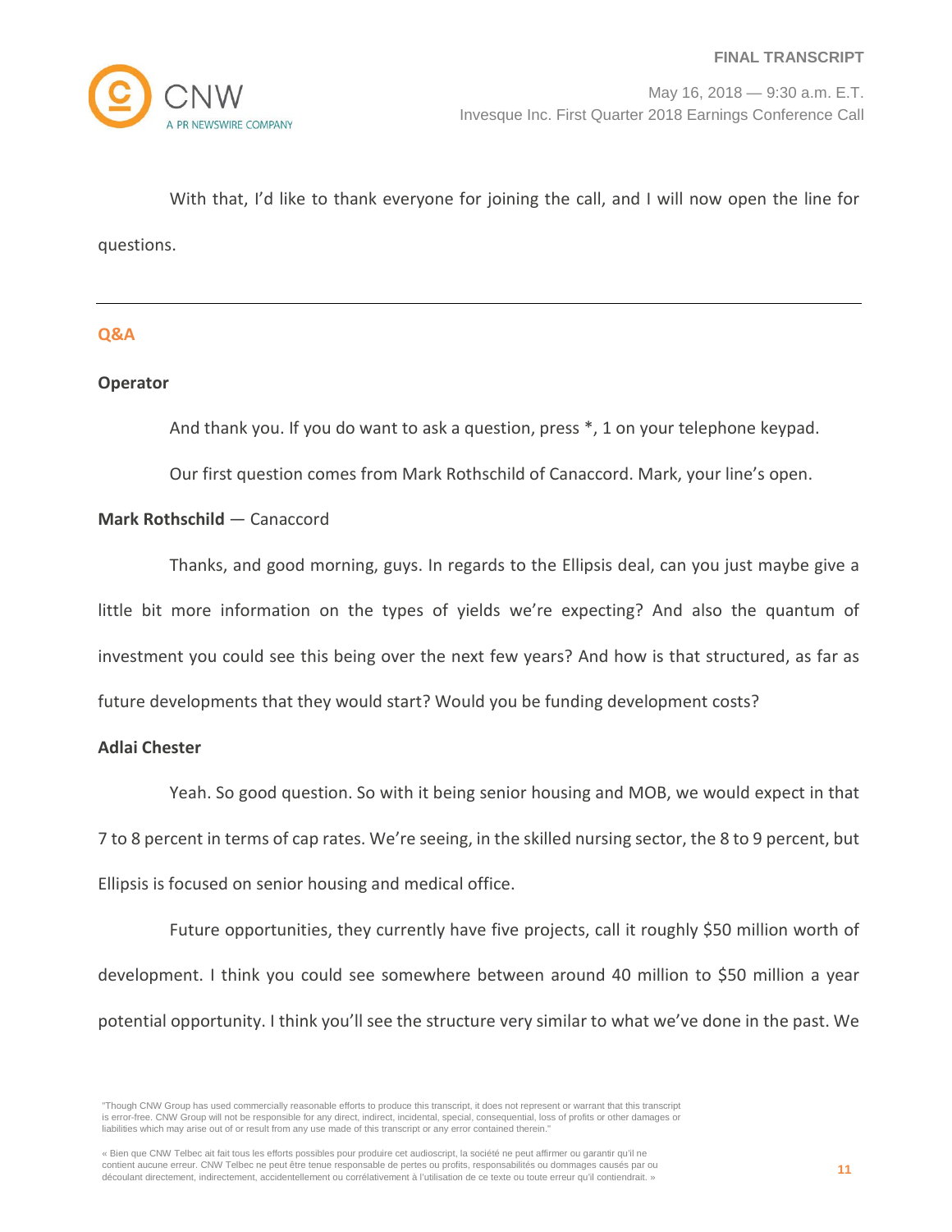

With that, I'd like to thank everyone for joining the call, and I will now open the line for questions.

# **Q&A**

#### **Operator**

And thank you. If you do want to ask a question, press \*, 1 on your telephone keypad.

Our first question comes from Mark Rothschild of Canaccord. Mark, your line's open.

# **Mark Rothschild** — Canaccord

Thanks, and good morning, guys. In regards to the Ellipsis deal, can you just maybe give a little bit more information on the types of yields we're expecting? And also the quantum of investment you could see this being over the next few years? And how is that structured, as far as future developments that they would start? Would you be funding development costs?

#### **Adlai Chester**

Yeah. So good question. So with it being senior housing and MOB, we would expect in that 7 to 8 percent in terms of cap rates. We're seeing, in the skilled nursing sector, the 8 to 9 percent, but Ellipsis is focused on senior housing and medical office.

Future opportunities, they currently have five projects, call it roughly \$50 million worth of development. I think you could see somewhere between around 40 million to \$50 million a year potential opportunity. I think you'll see the structure very similar to what we've done in the past. We

<sup>&</sup>quot;Though CNW Group has used commercially reasonable efforts to produce this transcript, it does not represent or warrant that this transcript is error-free. CNW Group will not be responsible for any direct, indirect, incidental, special, consequential, loss of profits or other damages or liabilities which may arise out of or result from any use made of this transcript or any error contained therein."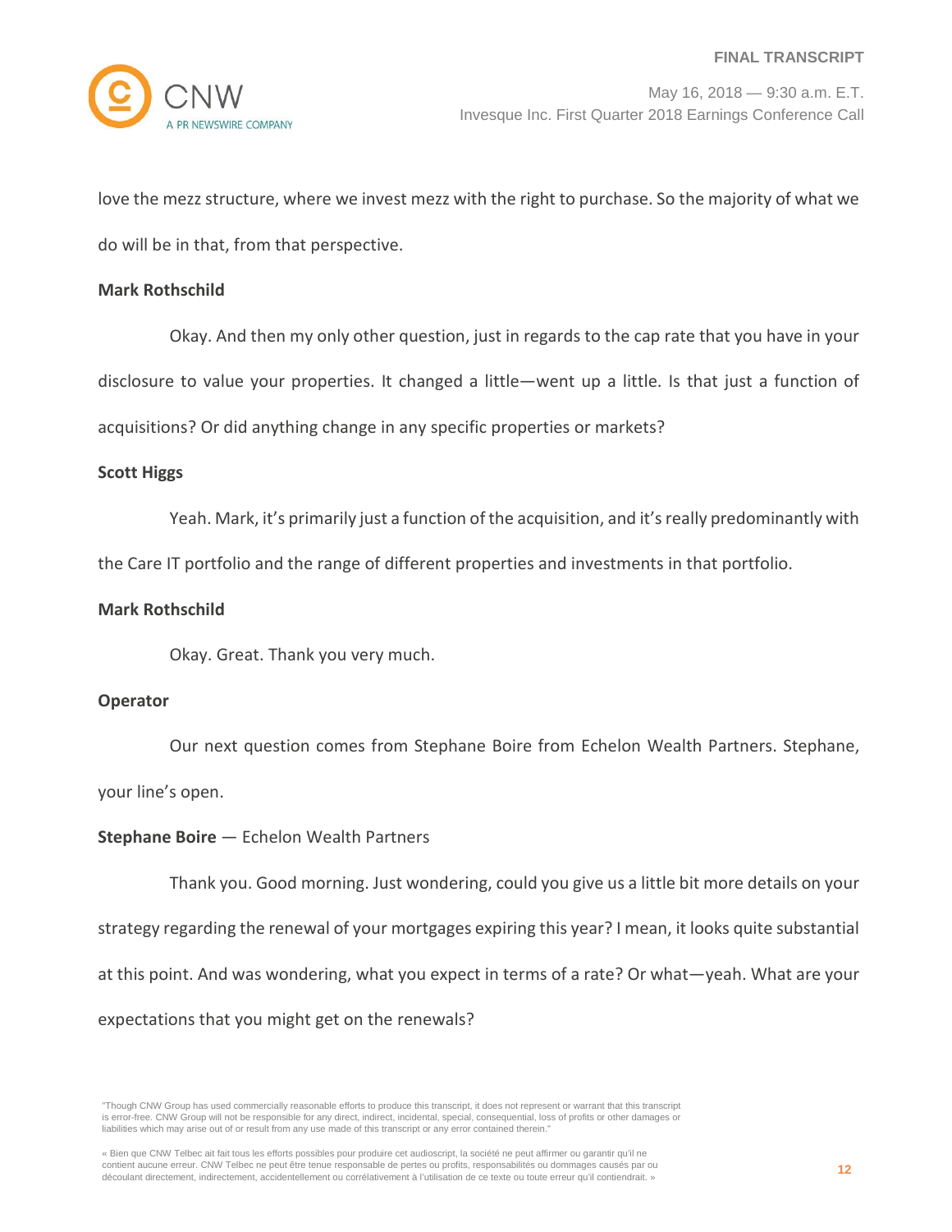

love the mezz structure, where we invest mezz with the right to purchase. So the majority of what we do will be in that, from that perspective.

### **Mark Rothschild**

Okay. And then my only other question, just in regards to the cap rate that you have in your disclosure to value your properties. It changed a little—went up a little. Is that just a function of acquisitions? Or did anything change in any specific properties or markets?

# **Scott Higgs**

Yeah. Mark, it's primarily just a function of the acquisition, and it's really predominantly with

the Care IT portfolio and the range of different properties and investments in that portfolio.

# **Mark Rothschild**

Okay. Great. Thank you very much.

#### **Operator**

Our next question comes from Stephane Boire from Echelon Wealth Partners. Stephane,

your line's open.

# **Stephane Boire** — Echelon Wealth Partners

Thank you. Good morning. Just wondering, could you give us a little bit more details on your strategy regarding the renewal of your mortgages expiring this year? I mean, it looks quite substantial at this point. And was wondering, what you expect in terms of a rate? Or what—yeah. What are your expectations that you might get on the renewals?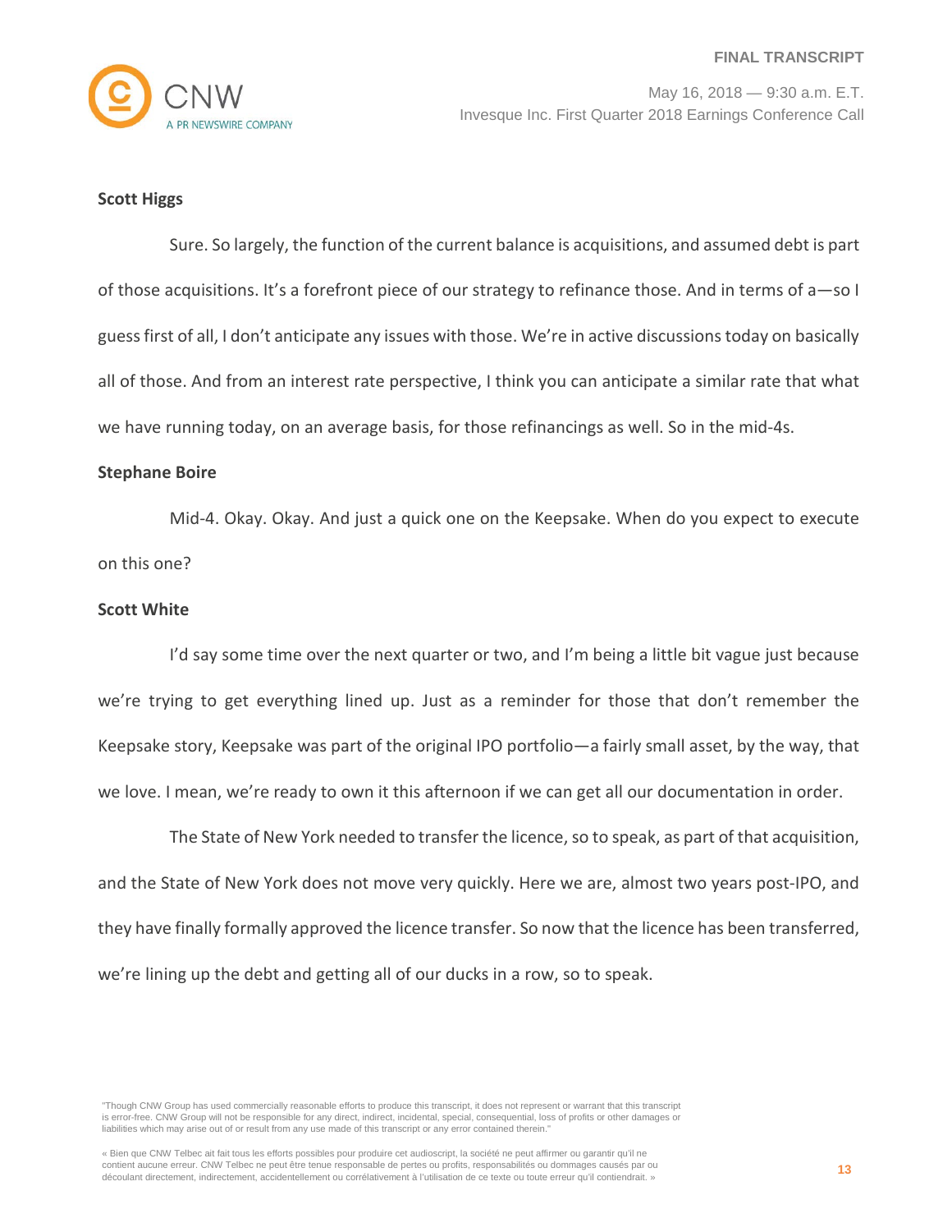

#### **Scott Higgs**

Sure. So largely, the function of the current balance is acquisitions, and assumed debt is part of those acquisitions. It's a forefront piece of our strategy to refinance those. And in terms of a—so I guess first of all, I don't anticipate any issues with those. We're in active discussions today on basically all of those. And from an interest rate perspective, I think you can anticipate a similar rate that what we have running today, on an average basis, for those refinancings as well. So in the mid-4s.

#### **Stephane Boire**

Mid-4. Okay. Okay. And just a quick one on the Keepsake. When do you expect to execute on this one?

### **Scott White**

I'd say some time over the next quarter or two, and I'm being a little bit vague just because we're trying to get everything lined up. Just as a reminder for those that don't remember the Keepsake story, Keepsake was part of the original IPO portfolio—a fairly small asset, by the way, that we love. I mean, we're ready to own it this afternoon if we can get all our documentation in order.

The State of New York needed to transfer the licence, so to speak, as part of that acquisition, and the State of New York does not move very quickly. Here we are, almost two years post-IPO, and they have finally formally approved the licence transfer. So now that the licence has been transferred, we're lining up the debt and getting all of our ducks in a row, so to speak.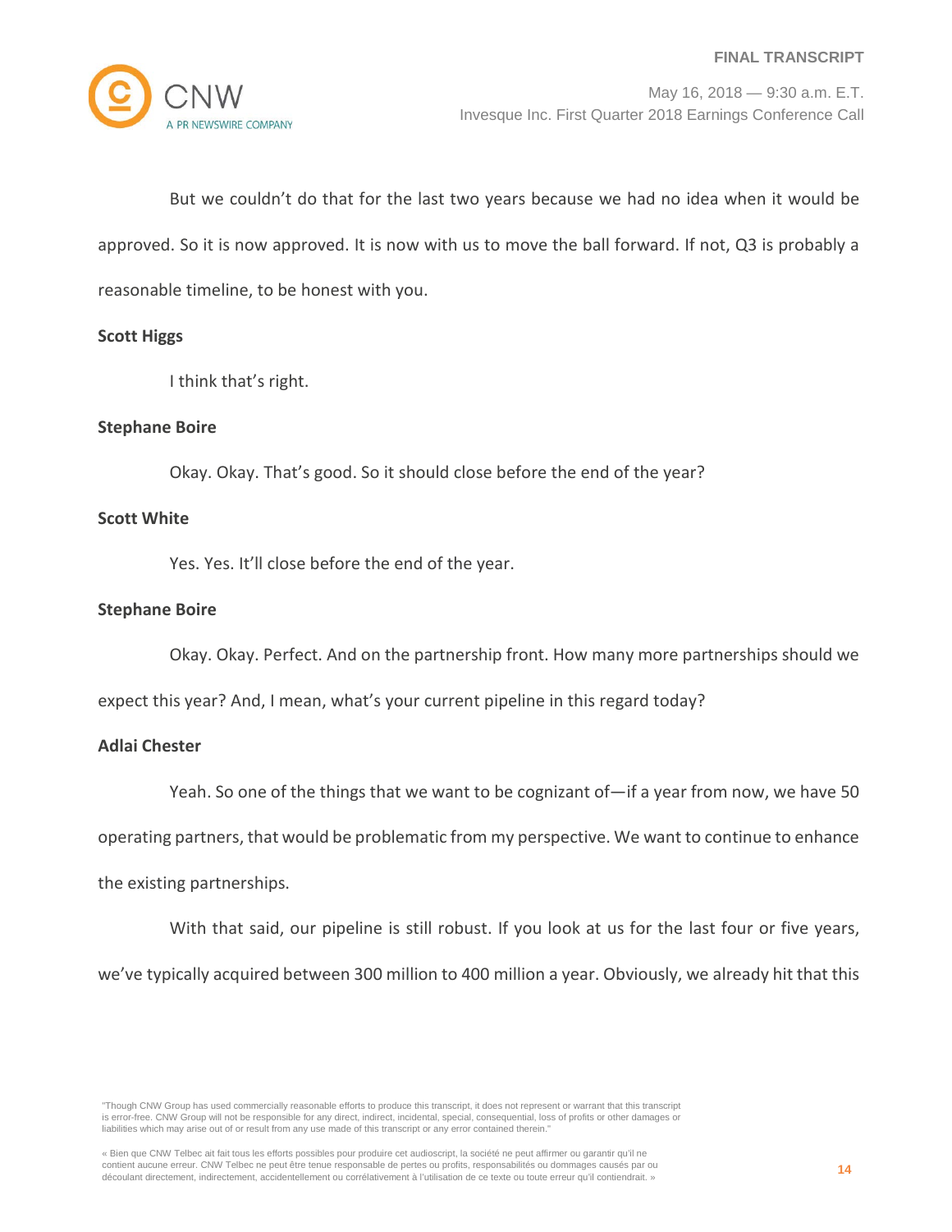But we couldn't do that for the last two years because we had no idea when it would be approved. So it is now approved. It is now with us to move the ball forward. If not, Q3 is probably a reasonable timeline, to be honest with you.

#### **Scott Higgs**

I think that's right.

# **Stephane Boire**

Okay. Okay. That's good. So it should close before the end of the year?

### **Scott White**

Yes. Yes. It'll close before the end of the year.

#### **Stephane Boire**

Okay. Okay. Perfect. And on the partnership front. How many more partnerships should we

expect this year? And, I mean, what's your current pipeline in this regard today?

# **Adlai Chester**

Yeah. So one of the things that we want to be cognizant of—if a year from now, we have 50

operating partners, that would be problematic from my perspective. We want to continue to enhance

the existing partnerships.

With that said, our pipeline is still robust. If you look at us for the last four or five years,

we've typically acquired between 300 million to 400 million a year. Obviously, we already hit that this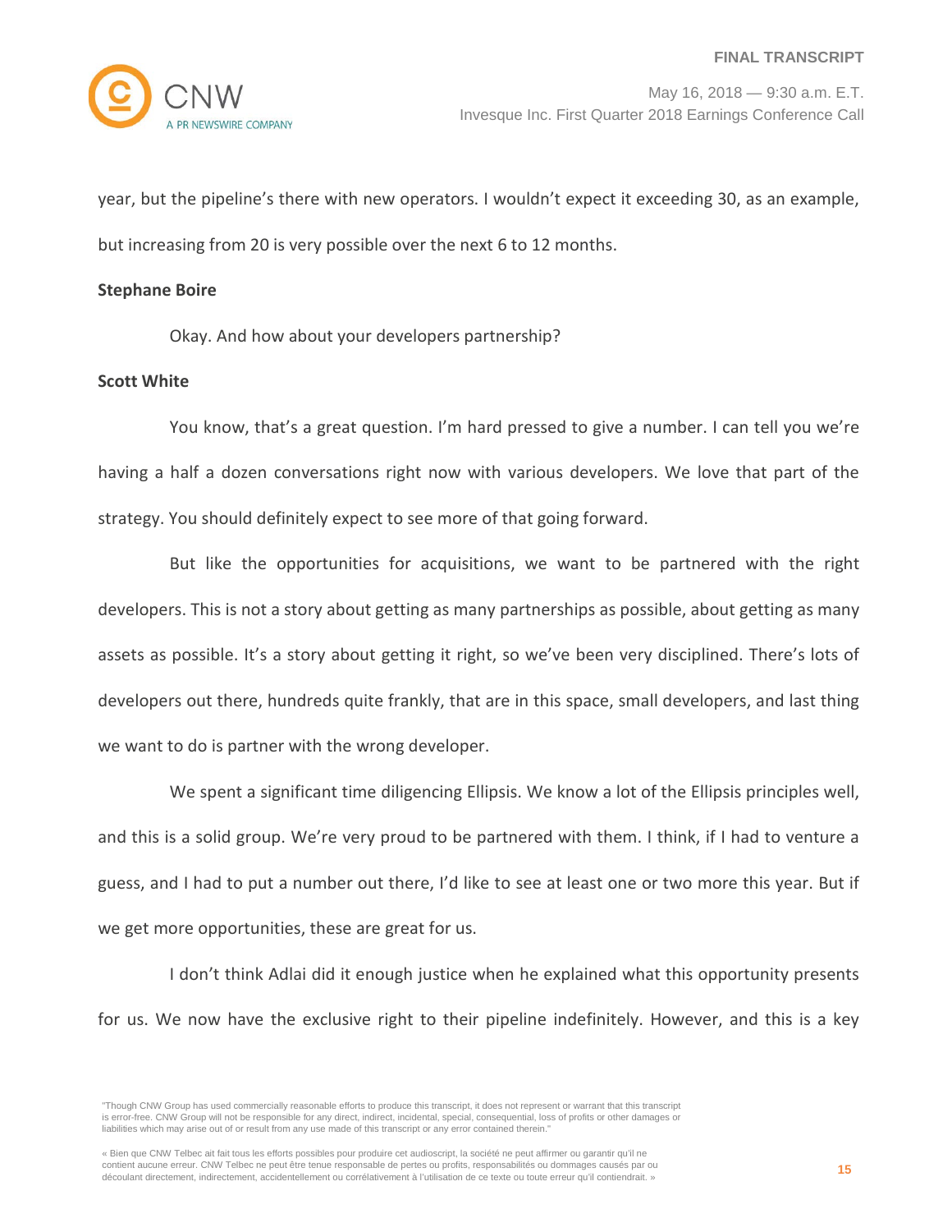year, but the pipeline's there with new operators. I wouldn't expect it exceeding 30, as an example, but increasing from 20 is very possible over the next 6 to 12 months.

### **Stephane Boire**

Okay. And how about your developers partnership?

### **Scott White**

You know, that's a great question. I'm hard pressed to give a number. I can tell you we're having a half a dozen conversations right now with various developers. We love that part of the strategy. You should definitely expect to see more of that going forward.

But like the opportunities for acquisitions, we want to be partnered with the right developers. This is not a story about getting as many partnerships as possible, about getting as many assets as possible. It's a story about getting it right, so we've been very disciplined. There's lots of developers out there, hundreds quite frankly, that are in this space, small developers, and last thing we want to do is partner with the wrong developer.

We spent a significant time diligencing Ellipsis. We know a lot of the Ellipsis principles well, and this is a solid group. We're very proud to be partnered with them. I think, if I had to venture a guess, and I had to put a number out there, I'd like to see at least one or two more this year. But if we get more opportunities, these are great for us.

I don't think Adlai did it enough justice when he explained what this opportunity presents for us. We now have the exclusive right to their pipeline indefinitely. However, and this is a key

<sup>&</sup>quot;Though CNW Group has used commercially reasonable efforts to produce this transcript, it does not represent or warrant that this transcript is error-free. CNW Group will not be responsible for any direct, indirect, incidental, special, consequential, loss of profits or other damages or liabilities which may arise out of or result from any use made of this transcript or any error contained therein."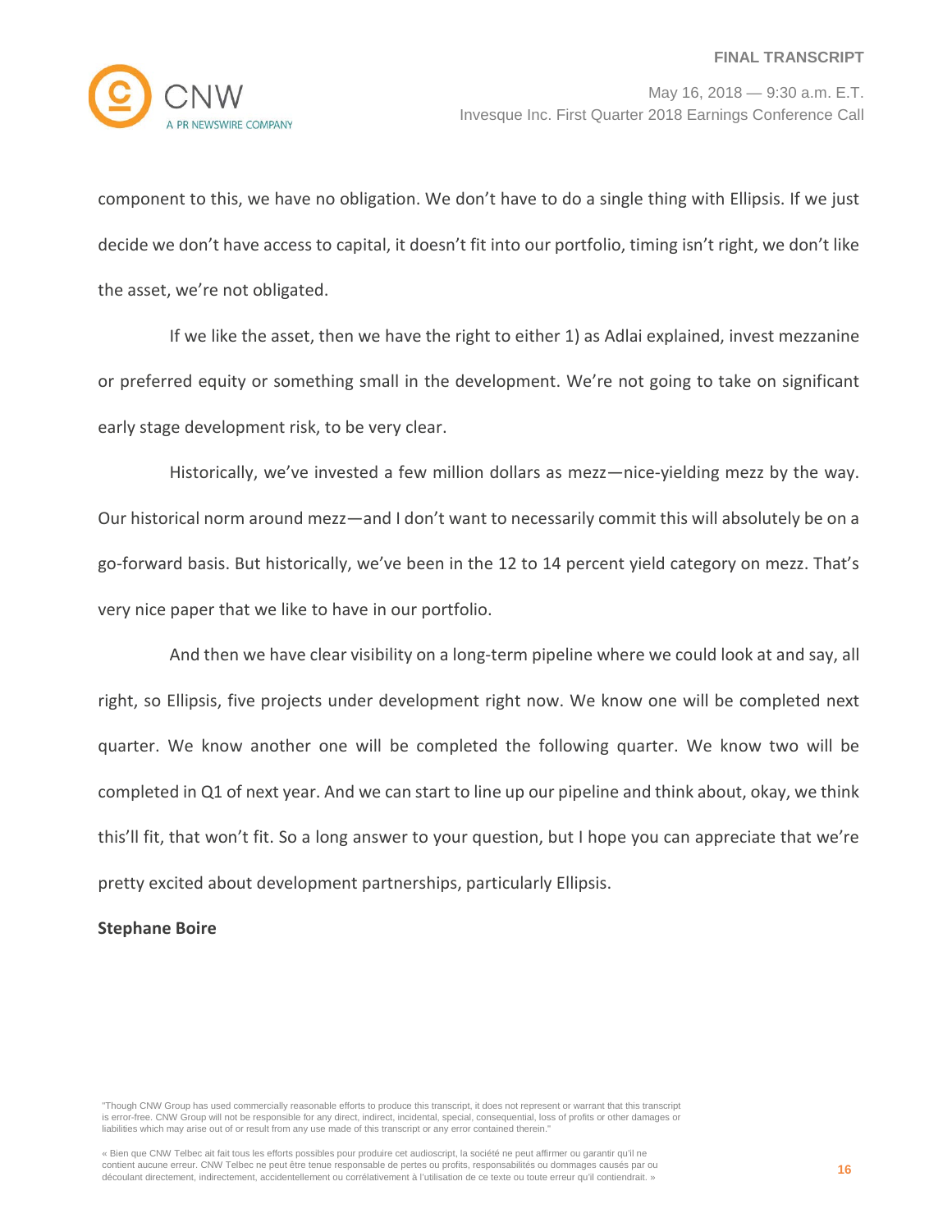

component to this, we have no obligation. We don't have to do a single thing with Ellipsis. If we just decide we don't have access to capital, it doesn't fit into our portfolio, timing isn't right, we don't like the asset, we're not obligated.

If we like the asset, then we have the right to either 1) as Adlai explained, invest mezzanine or preferred equity or something small in the development. We're not going to take on significant early stage development risk, to be very clear.

Historically, we've invested a few million dollars as mezz—nice-yielding mezz by the way. Our historical norm around mezz—and I don't want to necessarily commit this will absolutely be on a go-forward basis. But historically, we've been in the 12 to 14 percent yield category on mezz. That's very nice paper that we like to have in our portfolio.

And then we have clear visibility on a long-term pipeline where we could look at and say, all right, so Ellipsis, five projects under development right now. We know one will be completed next quarter. We know another one will be completed the following quarter. We know two will be completed in Q1 of next year. And we can start to line up our pipeline and think about, okay, we think this'll fit, that won't fit. So a long answer to your question, but I hope you can appreciate that we're pretty excited about development partnerships, particularly Ellipsis.

# **Stephane Boire**

"Though CNW Group has used commercially reasonable efforts to produce this transcript, it does not represent or warrant that this transcript is error-free. CNW Group will not be responsible for any direct, indirect, incidental, special, consequential, loss of profits or other damages or liabilities which may arise out of or result from any use made of this transcript or any error contained therein."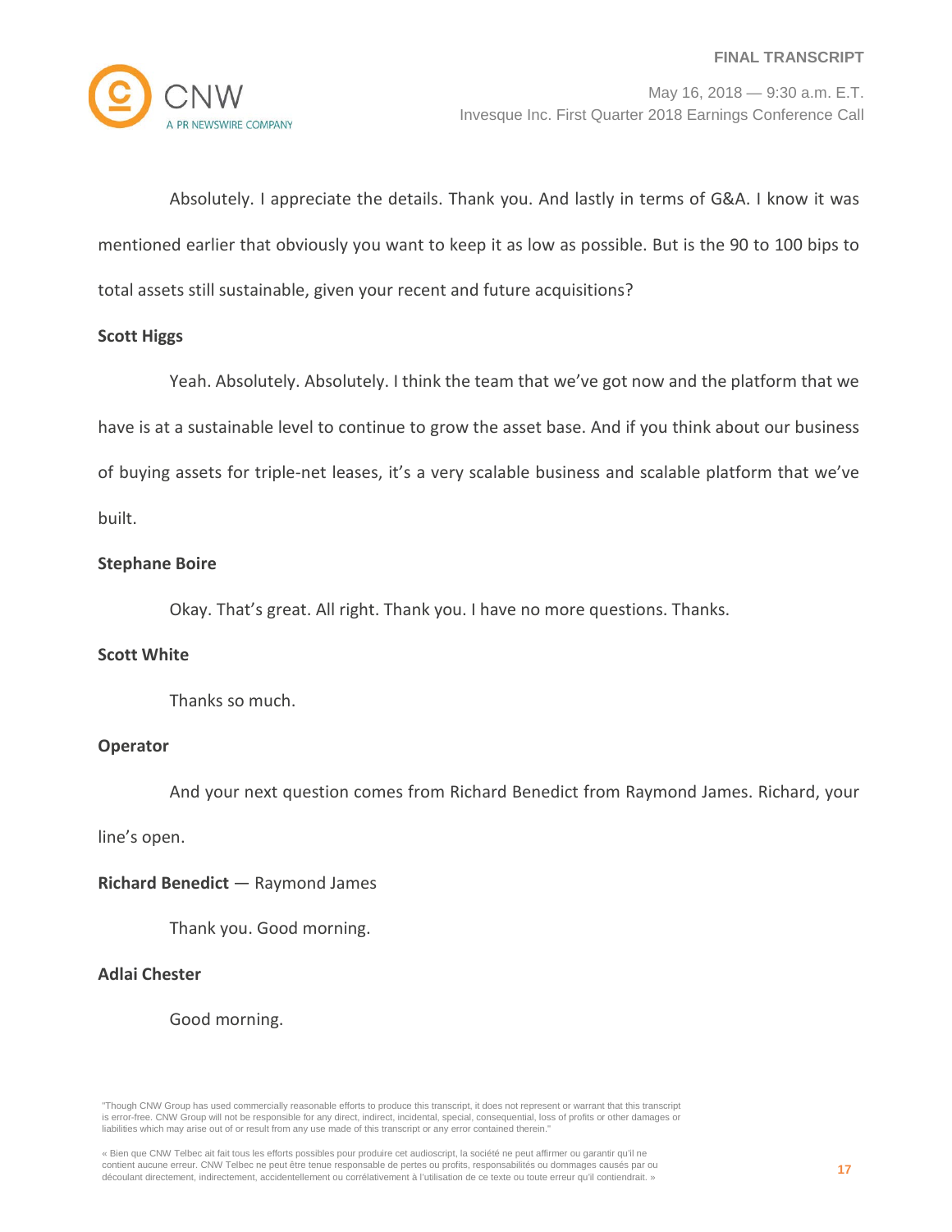

Absolutely. I appreciate the details. Thank you. And lastly in terms of G&A. I know it was mentioned earlier that obviously you want to keep it as low as possible. But is the 90 to 100 bips to total assets still sustainable, given your recent and future acquisitions?

### **Scott Higgs**

Yeah. Absolutely. Absolutely. I think the team that we've got now and the platform that we have is at a sustainable level to continue to grow the asset base. And if you think about our business of buying assets for triple-net leases, it's a very scalable business and scalable platform that we've built.

**Stephane Boire**

Okay. That's great. All right. Thank you. I have no more questions. Thanks.

#### **Scott White**

Thanks so much.

# **Operator**

And your next question comes from Richard Benedict from Raymond James. Richard, your

line's open.

**Richard Benedict** — Raymond James

Thank you. Good morning.

# **Adlai Chester**

Good morning.

"Though CNW Group has used commercially reasonable efforts to produce this transcript, it does not represent or warrant that this transcript is error-free. CNW Group will not be responsible for any direct, indirect, incidental, special, consequential, loss of profits or other damages or liabilities which may arise out of or result from any use made of this transcript or any error contained therein."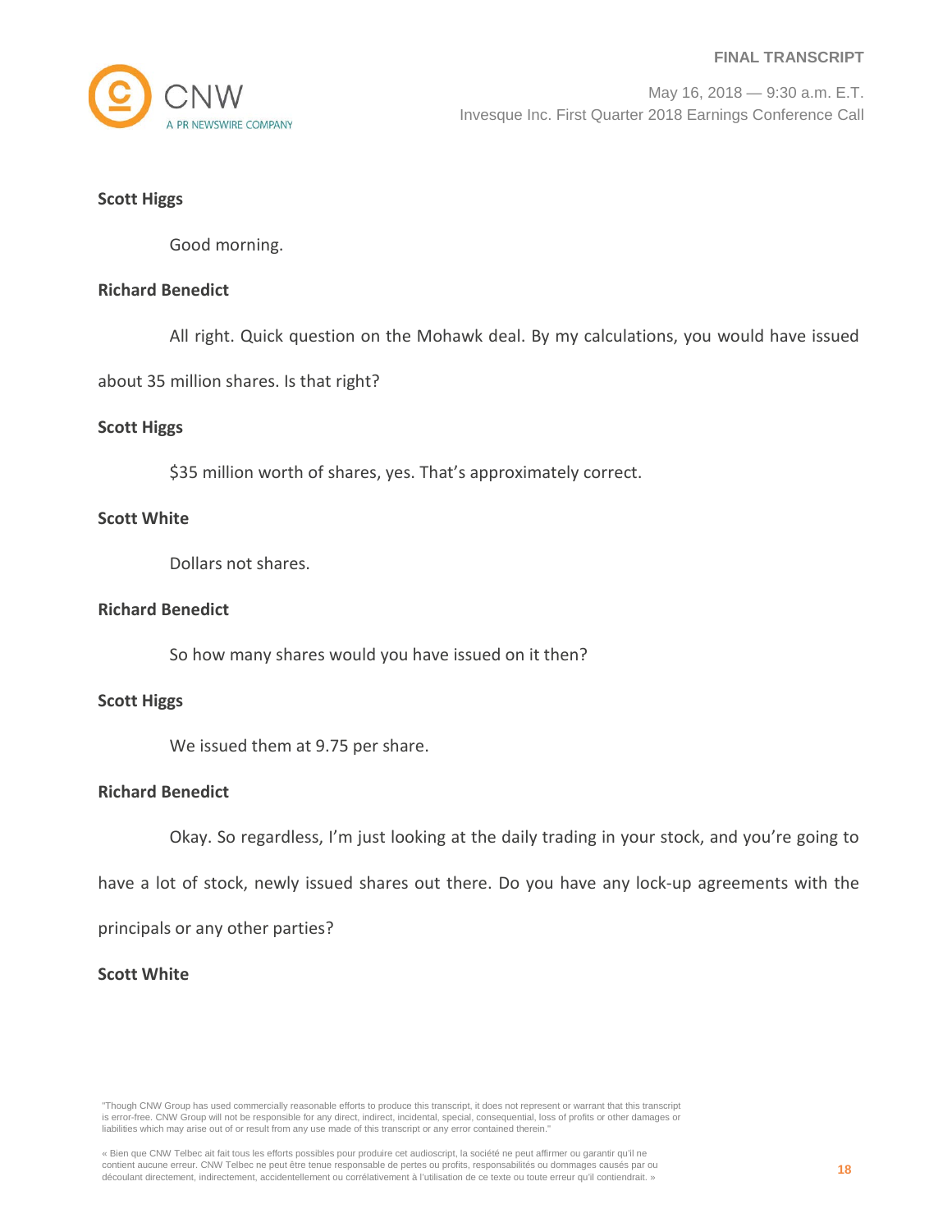

# **Scott Higgs**

Good morning.

# **Richard Benedict**

All right. Quick question on the Mohawk deal. By my calculations, you would have issued

about 35 million shares. Is that right?

# **Scott Higgs**

\$35 million worth of shares, yes. That's approximately correct.

### **Scott White**

Dollars not shares.

# **Richard Benedict**

So how many shares would you have issued on it then?

#### **Scott Higgs**

We issued them at 9.75 per share.

# **Richard Benedict**

Okay. So regardless, I'm just looking at the daily trading in your stock, and you're going to

have a lot of stock, newly issued shares out there. Do you have any lock-up agreements with the

principals or any other parties?

# **Scott White**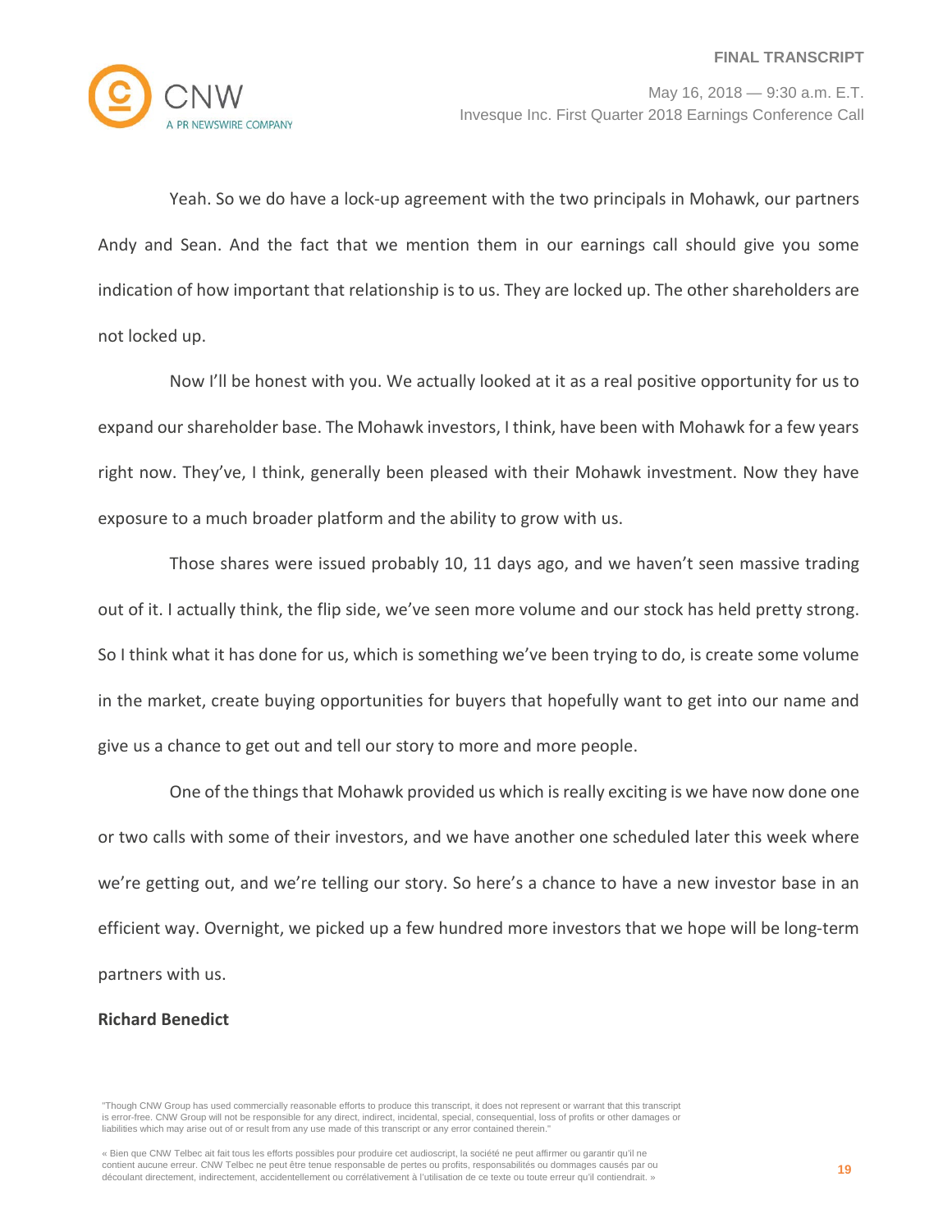

Yeah. So we do have a lock-up agreement with the two principals in Mohawk, our partners Andy and Sean. And the fact that we mention them in our earnings call should give you some indication of how important that relationship is to us. They are locked up. The other shareholders are not locked up.

Now I'll be honest with you. We actually looked at it as a real positive opportunity for us to expand our shareholder base. The Mohawk investors, I think, have been with Mohawk for a few years right now. They've, I think, generally been pleased with their Mohawk investment. Now they have exposure to a much broader platform and the ability to grow with us.

Those shares were issued probably 10, 11 days ago, and we haven't seen massive trading out of it. I actually think, the flip side, we've seen more volume and our stock has held pretty strong. So I think what it has done for us, which is something we've been trying to do, is create some volume in the market, create buying opportunities for buyers that hopefully want to get into our name and give us a chance to get out and tell our story to more and more people.

One of the things that Mohawk provided us which is really exciting is we have now done one or two calls with some of their investors, and we have another one scheduled later this week where we're getting out, and we're telling our story. So here's a chance to have a new investor base in an efficient way. Overnight, we picked up a few hundred more investors that we hope will be long-term partners with us.

# **Richard Benedict**

<sup>&</sup>quot;Though CNW Group has used commercially reasonable efforts to produce this transcript, it does not represent or warrant that this transcript is error-free. CNW Group will not be responsible for any direct, indirect, incidental, special, consequential, loss of profits or other damages or liabilities which may arise out of or result from any use made of this transcript or any error contained therein."

<sup>«</sup> Bien que CNW Telbec ait fait tous les efforts possibles pour produire cet audioscript, la société ne peut affirmer ou garantir qu'il ne contient aucune erreur. CNW Telbec ne peut être tenue responsable de pertes ou profits, responsabilités ou dommages causés par ou découlant directement, indirectement, accidentellement ou corrélativement à l'utilisation de ce texte ou toute erreur qu'il contiendrait. »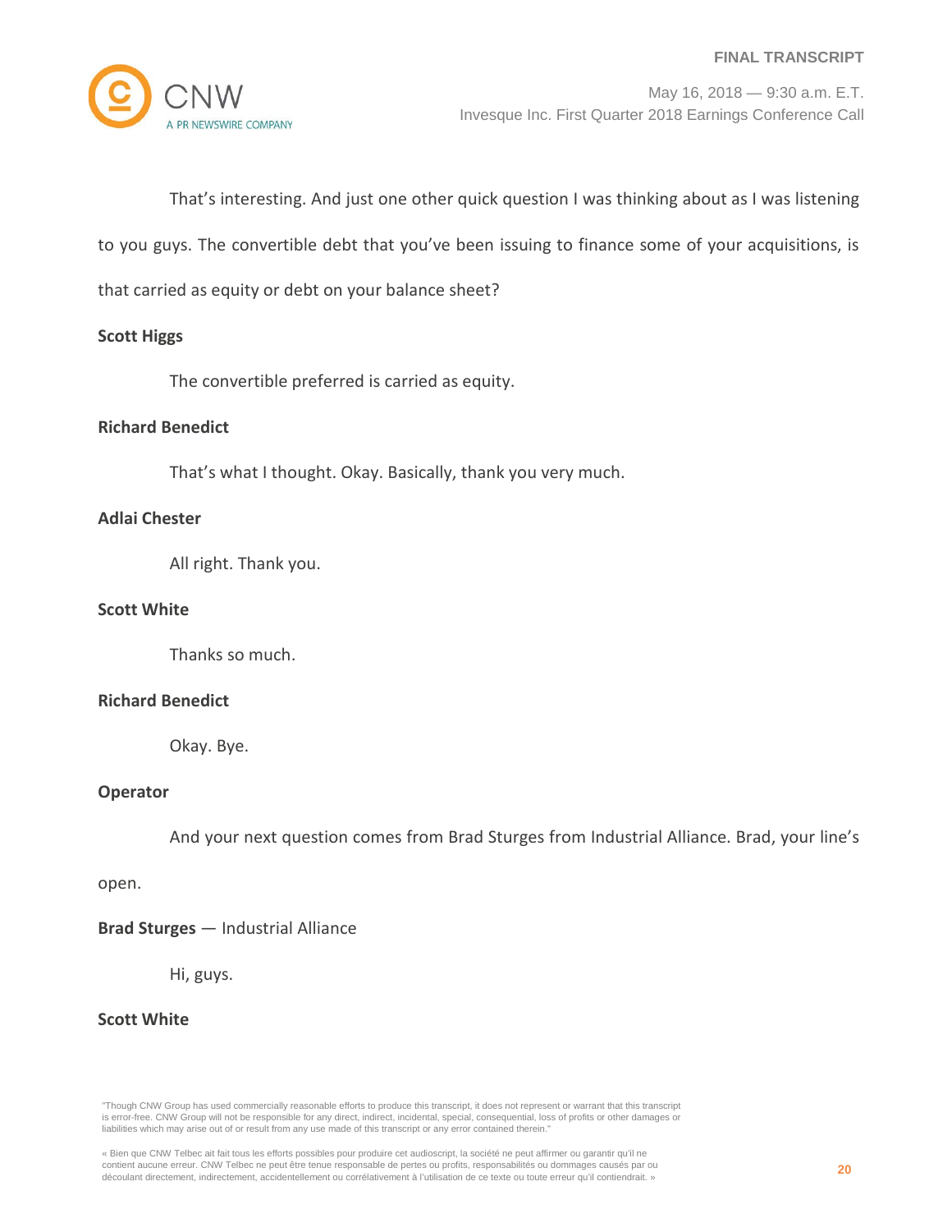

That's interesting. And just one other quick question I was thinking about as I was listening

to you guys. The convertible debt that you've been issuing to finance some of your acquisitions, is

that carried as equity or debt on your balance sheet?

### **Scott Higgs**

The convertible preferred is carried as equity.

#### **Richard Benedict**

That's what I thought. Okay. Basically, thank you very much.

#### **Adlai Chester**

All right. Thank you.

# **Scott White**

Thanks so much.

#### **Richard Benedict**

Okay. Bye.

# **Operator**

And your next question comes from Brad Sturges from Industrial Alliance. Brad, your line's

open.

#### **Brad Sturges** — Industrial Alliance

Hi, guys.

#### **Scott White**

"Though CNW Group has used commercially reasonable efforts to produce this transcript, it does not represent or warrant that this transcript is error-free. CNW Group will not be responsible for any direct, indirect, incidental, special, consequential, loss of profits or other damages or liabilities which may arise out of or result from any use made of this transcript or any error contained therein."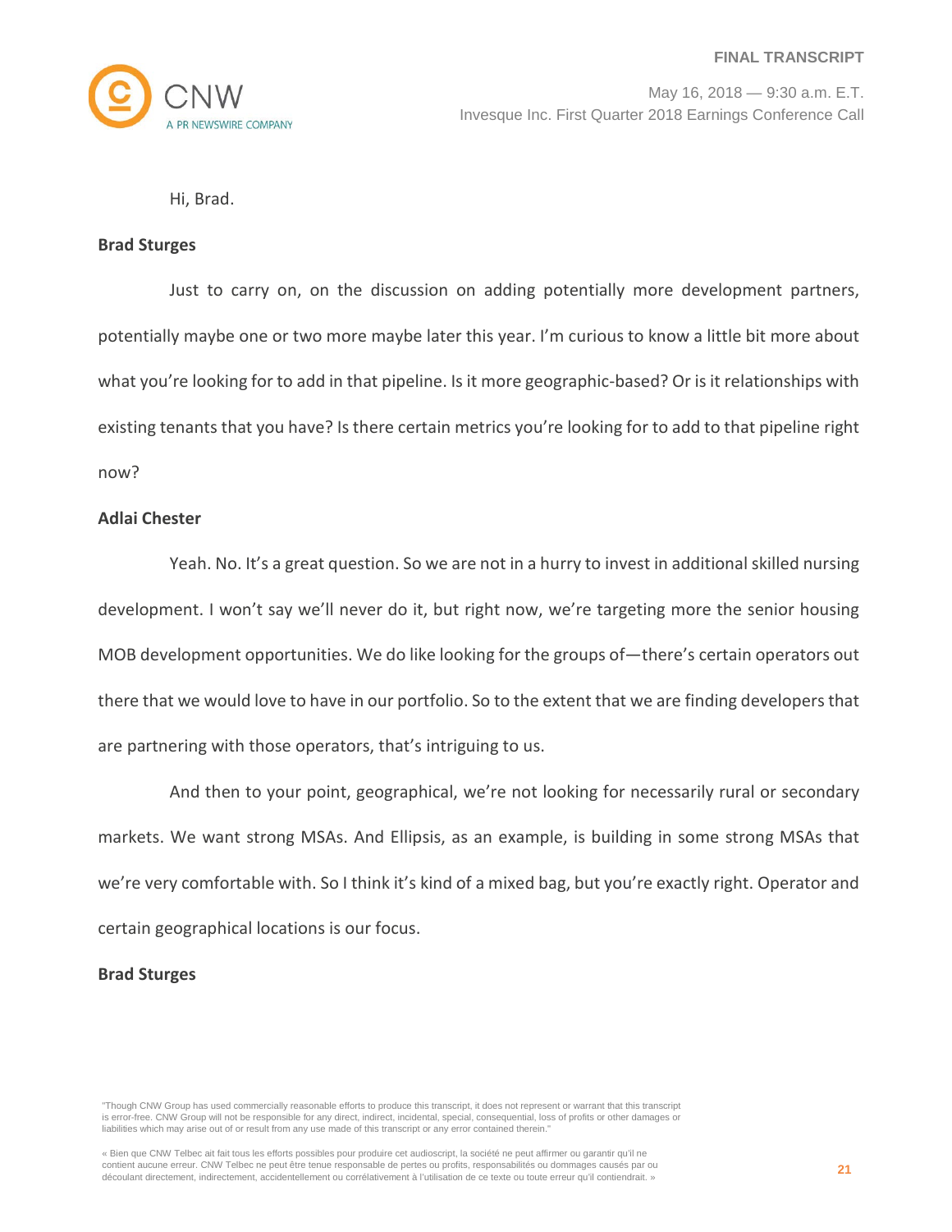

Hi, Brad.

#### **Brad Sturges**

Just to carry on, on the discussion on adding potentially more development partners, potentially maybe one or two more maybe later this year. I'm curious to know a little bit more about what you're looking for to add in that pipeline. Is it more geographic-based? Or is it relationships with existing tenants that you have? Is there certain metrics you're looking for to add to that pipeline right now?

# **Adlai Chester**

Yeah. No. It's a great question. So we are not in a hurry to invest in additional skilled nursing development. I won't say we'll never do it, but right now, we're targeting more the senior housing MOB development opportunities. We do like looking for the groups of—there's certain operators out there that we would love to have in our portfolio. So to the extent that we are finding developers that are partnering with those operators, that's intriguing to us.

And then to your point, geographical, we're not looking for necessarily rural or secondary markets. We want strong MSAs. And Ellipsis, as an example, is building in some strong MSAs that we're very comfortable with. So I think it's kind of a mixed bag, but you're exactly right. Operator and certain geographical locations is our focus.

# **Brad Sturges**

<sup>&</sup>quot;Though CNW Group has used commercially reasonable efforts to produce this transcript, it does not represent or warrant that this transcript is error-free. CNW Group will not be responsible for any direct, indirect, incidental, special, consequential, loss of profits or other damages or liabilities which may arise out of or result from any use made of this transcript or any error contained therein."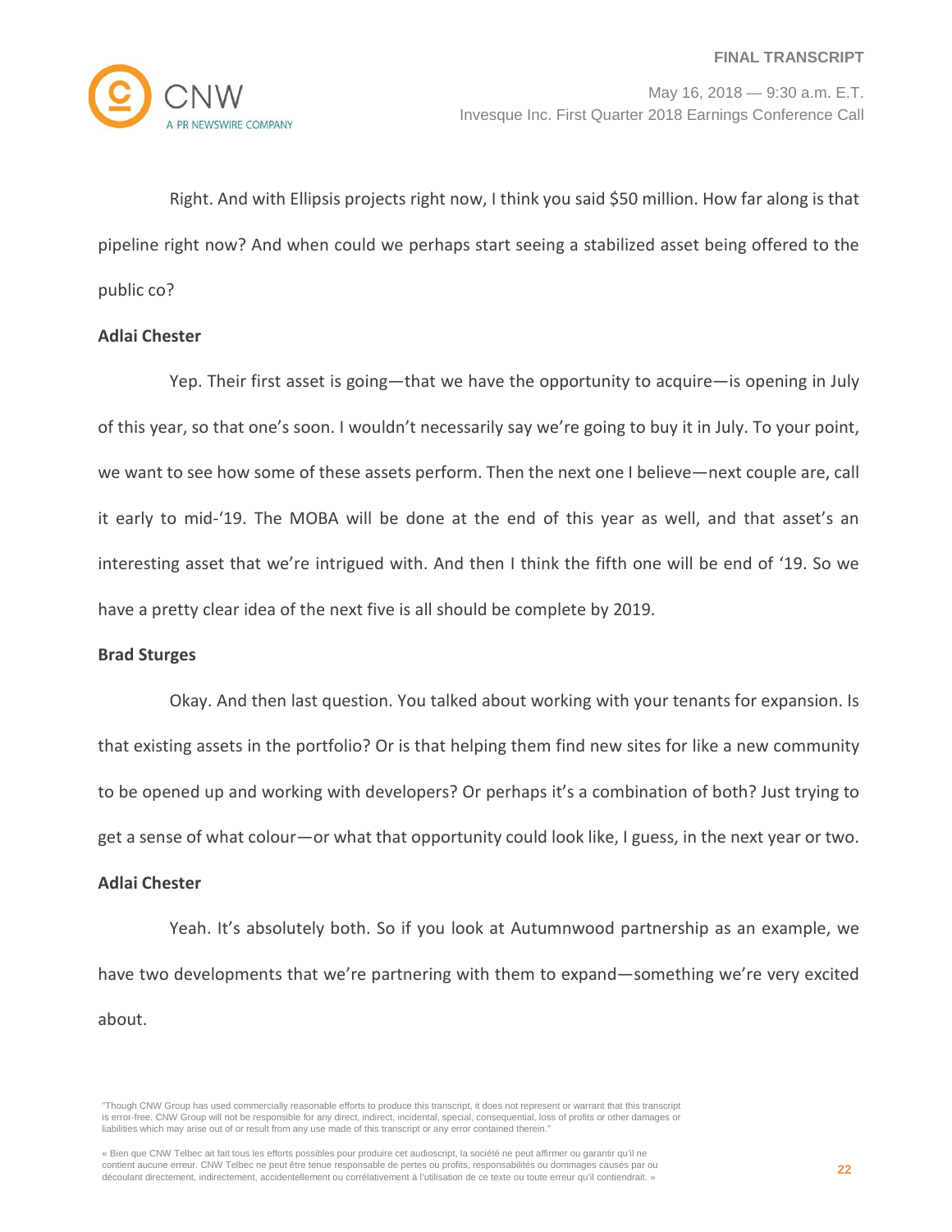

Right. And with Ellipsis projects right now, I think you said \$50 million. How far along is that pipeline right now? And when could we perhaps start seeing a stabilized asset being offered to the public co?

# **Adlai Chester**

Yep. Their first asset is going—that we have the opportunity to acquire—is opening in July of this year, so that one's soon. I wouldn't necessarily say we're going to buy it in July. To your point, we want to see how some of these assets perform. Then the next one I believe—next couple are, call it early to mid-'19. The MOBA will be done at the end of this year as well, and that asset's an interesting asset that we're intrigued with. And then I think the fifth one will be end of '19. So we have a pretty clear idea of the next five is all should be complete by 2019.

#### **Brad Sturges**

Okay. And then last question. You talked about working with your tenants for expansion. Is that existing assets in the portfolio? Or is that helping them find new sites for like a new community to be opened up and working with developers? Or perhaps it's a combination of both? Just trying to get a sense of what colour—or what that opportunity could look like, I guess, in the next year or two.

#### **Adlai Chester**

Yeah. It's absolutely both. So if you look at Autumnwood partnership as an example, we have two developments that we're partnering with them to expand—something we're very excited about.

<sup>&</sup>quot;Though CNW Group has used commercially reasonable efforts to produce this transcript, it does not represent or warrant that this transcript is error-free. CNW Group will not be responsible for any direct, indirect, incidental, special, consequential, loss of profits or other damages or liabilities which may arise out of or result from any use made of this transcript or any error contained therein."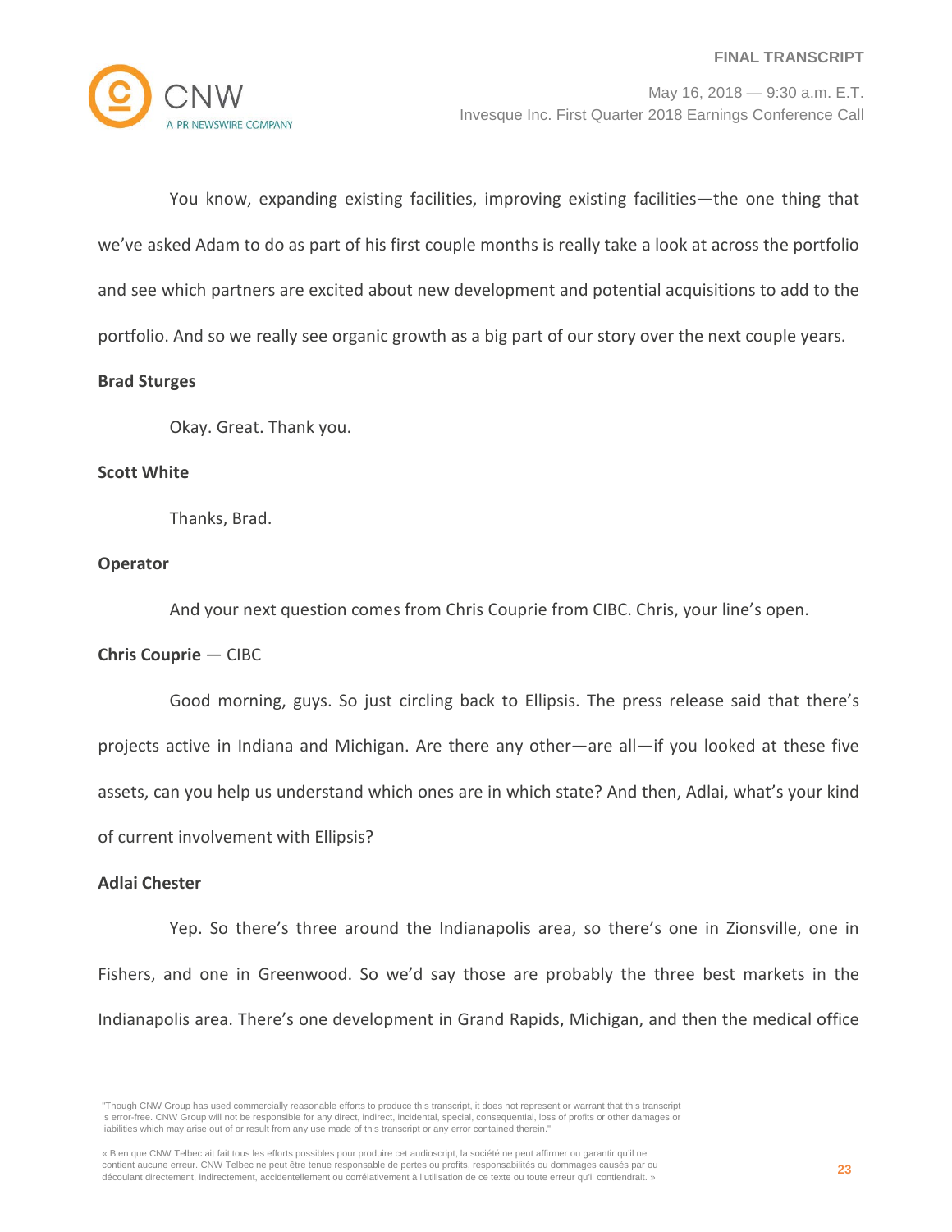You know, expanding existing facilities, improving existing facilities—the one thing that we've asked Adam to do as part of his first couple months is really take a look at across the portfolio and see which partners are excited about new development and potential acquisitions to add to the portfolio. And so we really see organic growth as a big part of our story over the next couple years.

# **Brad Sturges**

Okay. Great. Thank you.

#### **Scott White**

Thanks, Brad.

# **Operator**

And your next question comes from Chris Couprie from CIBC. Chris, your line's open.

# **Chris Couprie** — CIBC

Good morning, guys. So just circling back to Ellipsis. The press release said that there's projects active in Indiana and Michigan. Are there any other—are all—if you looked at these five assets, can you help us understand which ones are in which state? And then, Adlai, what's your kind of current involvement with Ellipsis?

### **Adlai Chester**

Yep. So there's three around the Indianapolis area, so there's one in Zionsville, one in Fishers, and one in Greenwood. So we'd say those are probably the three best markets in the Indianapolis area. There's one development in Grand Rapids, Michigan, and then the medical office

<sup>&</sup>quot;Though CNW Group has used commercially reasonable efforts to produce this transcript, it does not represent or warrant that this transcript is error-free. CNW Group will not be responsible for any direct, indirect, incidental, special, consequential, loss of profits or other damages or liabilities which may arise out of or result from any use made of this transcript or any error contained therein."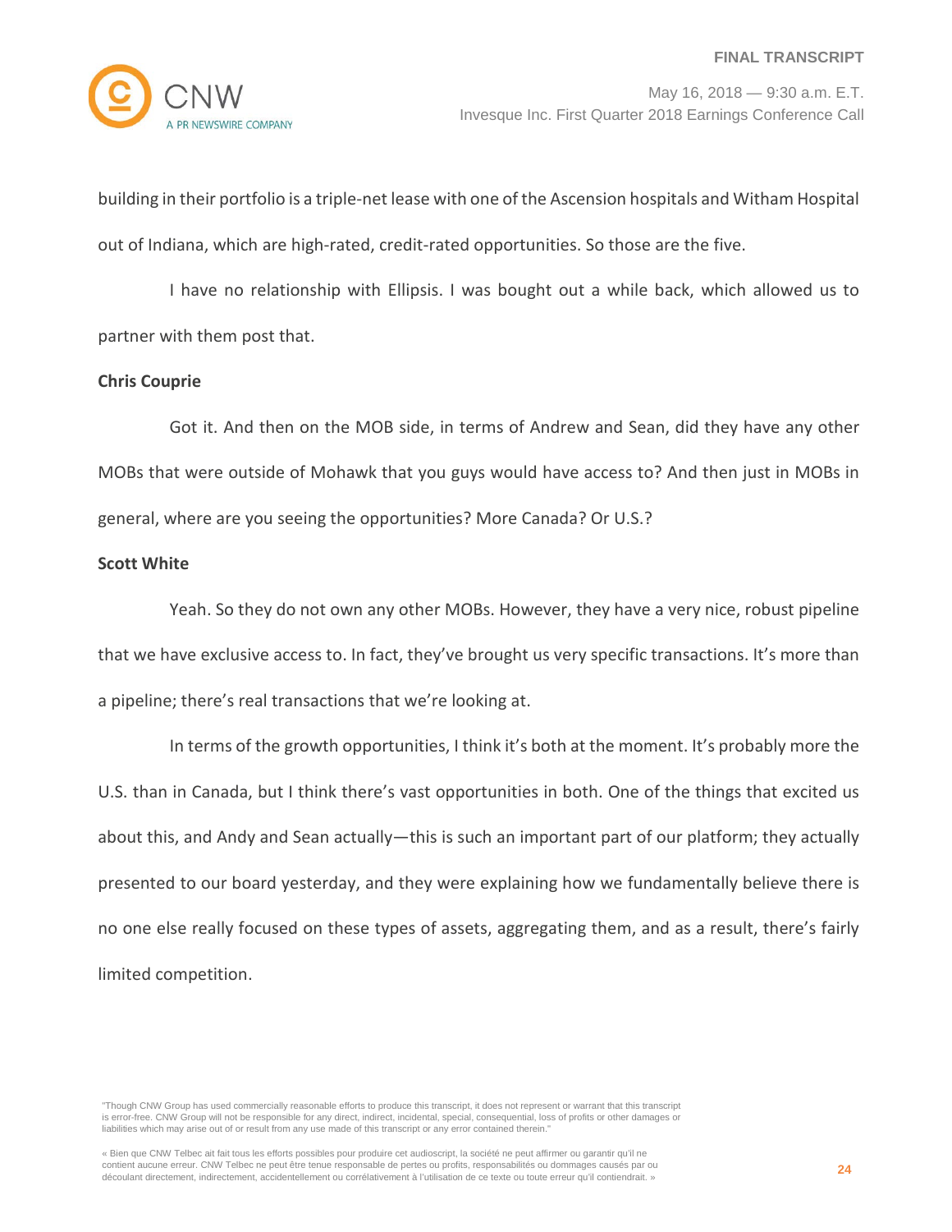**EWSWIRE COMPANY** 

May 16, 2018 — 9:30 a.m. E.T. Invesque Inc. First Quarter 2018 Earnings Conference Call

building in their portfolio is a triple-net lease with one of the Ascension hospitals and Witham Hospital out of Indiana, which are high-rated, credit-rated opportunities. So those are the five.

I have no relationship with Ellipsis. I was bought out a while back, which allowed us to partner with them post that.

# **Chris Couprie**

Got it. And then on the MOB side, in terms of Andrew and Sean, did they have any other MOBs that were outside of Mohawk that you guys would have access to? And then just in MOBs in general, where are you seeing the opportunities? More Canada? Or U.S.?

# **Scott White**

Yeah. So they do not own any other MOBs. However, they have a very nice, robust pipeline that we have exclusive access to. In fact, they've brought us very specific transactions. It's more than a pipeline; there's real transactions that we're looking at.

In terms of the growth opportunities, I think it's both at the moment. It's probably more the U.S. than in Canada, but I think there's vast opportunities in both. One of the things that excited us about this, and Andy and Sean actually—this is such an important part of our platform; they actually presented to our board yesterday, and they were explaining how we fundamentally believe there is no one else really focused on these types of assets, aggregating them, and as a result, there's fairly limited competition.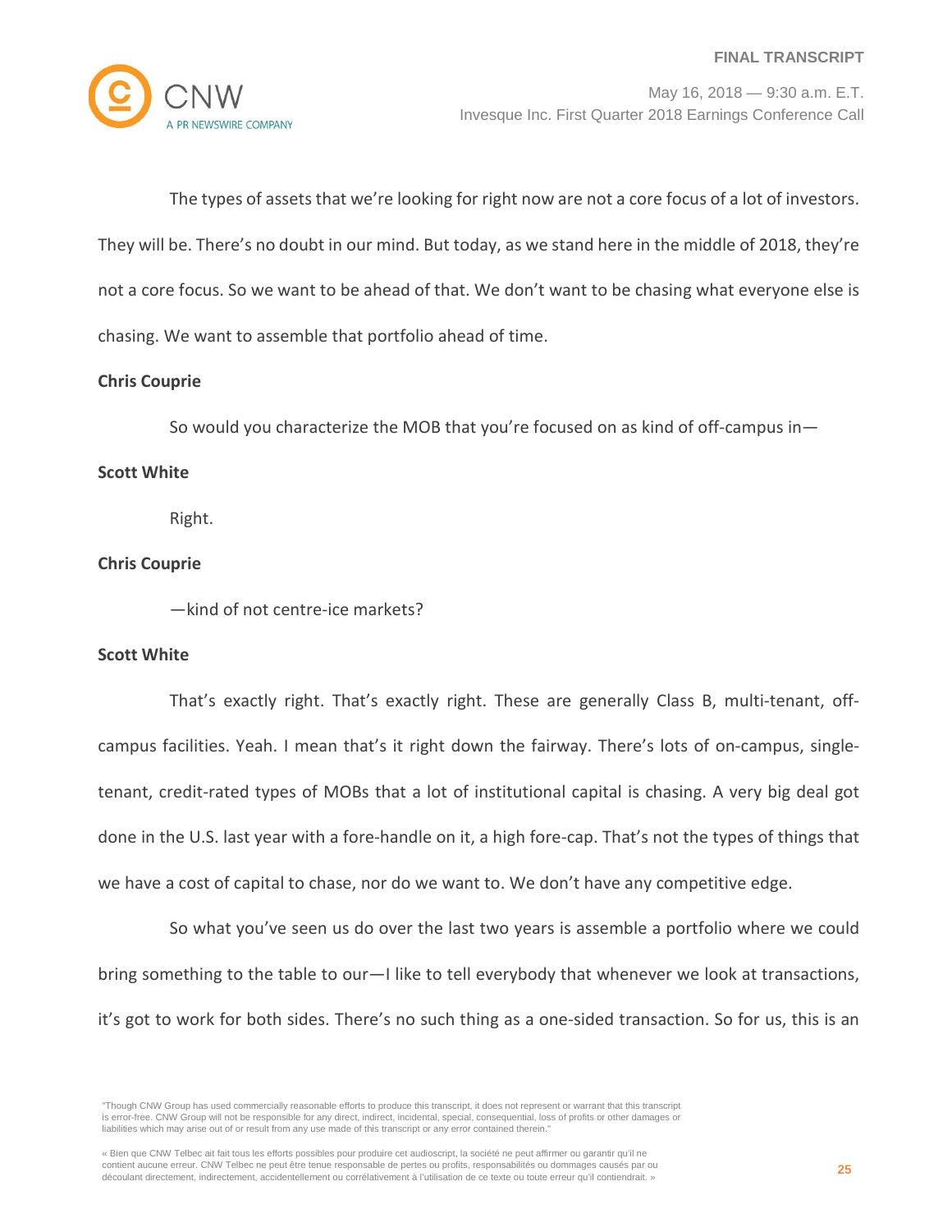

The types of assets that we're looking for right now are not a core focus of a lot of investors. They will be. There's no doubt in our mind. But today, as we stand here in the middle of 2018, they're not a core focus. So we want to be ahead of that. We don't want to be chasing what everyone else is chasing. We want to assemble that portfolio ahead of time.

# **Chris Couprie**

So would you characterize the MOB that you're focused on as kind of off-campus in—

# **Scott White**

Right.

# **Chris Couprie**

—kind of not centre-ice markets?

# **Scott White**

That's exactly right. That's exactly right. These are generally Class B, multi-tenant, offcampus facilities. Yeah. I mean that's it right down the fairway. There's lots of on-campus, singletenant, credit-rated types of MOBs that a lot of institutional capital is chasing. A very big deal got done in the U.S. last year with a fore-handle on it, a high fore-cap. That's not the types of things that we have a cost of capital to chase, nor do we want to. We don't have any competitive edge.

So what you've seen us do over the last two years is assemble a portfolio where we could bring something to the table to our—I like to tell everybody that whenever we look at transactions, it's got to work for both sides. There's no such thing as a one-sided transaction. So for us, this is an

<sup>&</sup>quot;Though CNW Group has used commercially reasonable efforts to produce this transcript, it does not represent or warrant that this transcript is error-free. CNW Group will not be responsible for any direct, indirect, incidental, special, consequential, loss of profits or other damages or liabilities which may arise out of or result from any use made of this transcript or any error contained therein."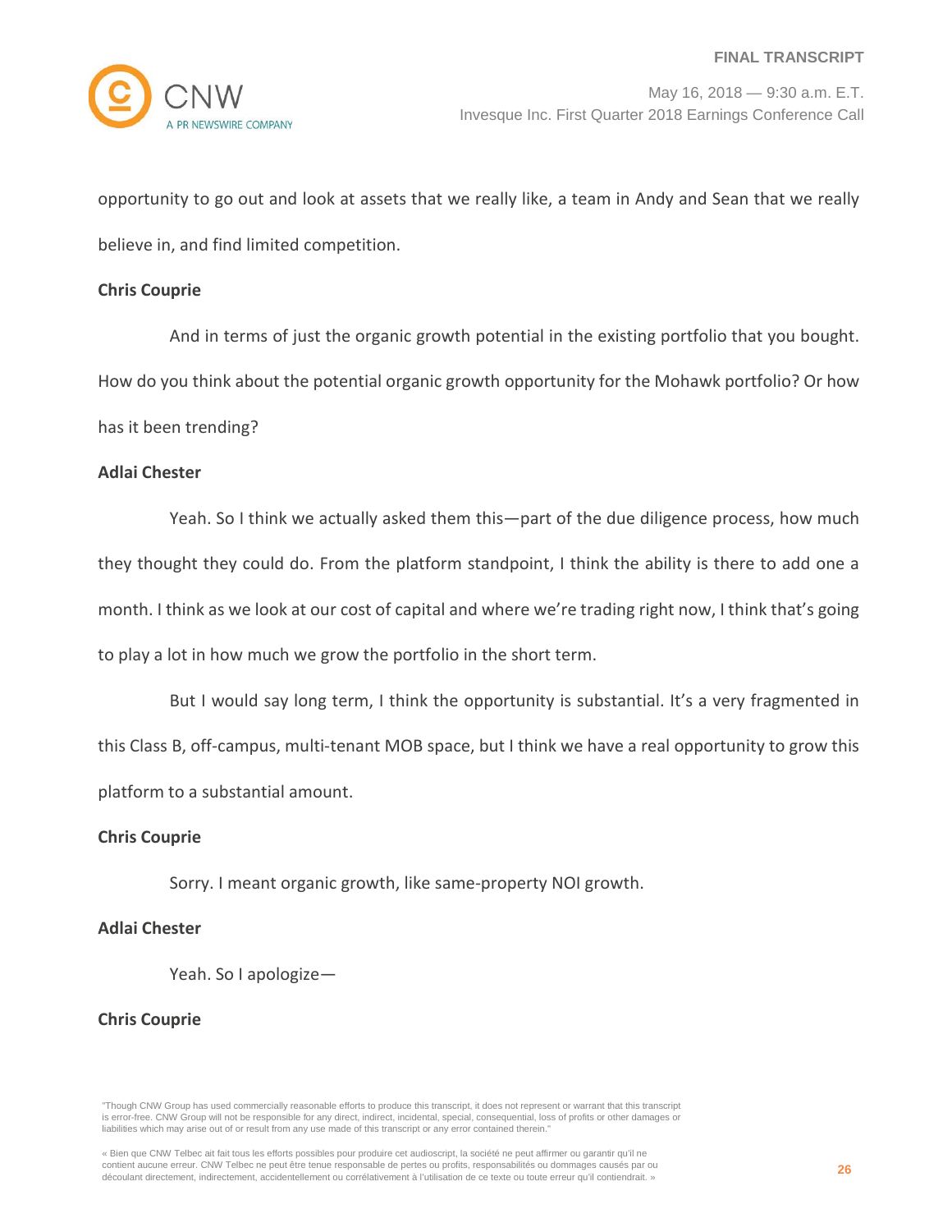opportunity to go out and look at assets that we really like, a team in Andy and Sean that we really believe in, and find limited competition.

### **Chris Couprie**

And in terms of just the organic growth potential in the existing portfolio that you bought. How do you think about the potential organic growth opportunity for the Mohawk portfolio? Or how has it been trending?

### **Adlai Chester**

Yeah. So I think we actually asked them this—part of the due diligence process, how much they thought they could do. From the platform standpoint, I think the ability is there to add one a month. I think as we look at our cost of capital and where we're trading right now, I think that's going to play a lot in how much we grow the portfolio in the short term.

But I would say long term, I think the opportunity is substantial. It's a very fragmented in this Class B, off-campus, multi-tenant MOB space, but I think we have a real opportunity to grow this platform to a substantial amount.

# **Chris Couprie**

Sorry. I meant organic growth, like same-property NOI growth.

# **Adlai Chester**

Yeah. So I apologize—

#### **Chris Couprie**

"Though CNW Group has used commercially reasonable efforts to produce this transcript, it does not represent or warrant that this transcript is error-free. CNW Group will not be responsible for any direct, indirect, incidental, special, consequential, loss of profits or other damages or liabilities which may arise out of or result from any use made of this transcript or any error contained therein."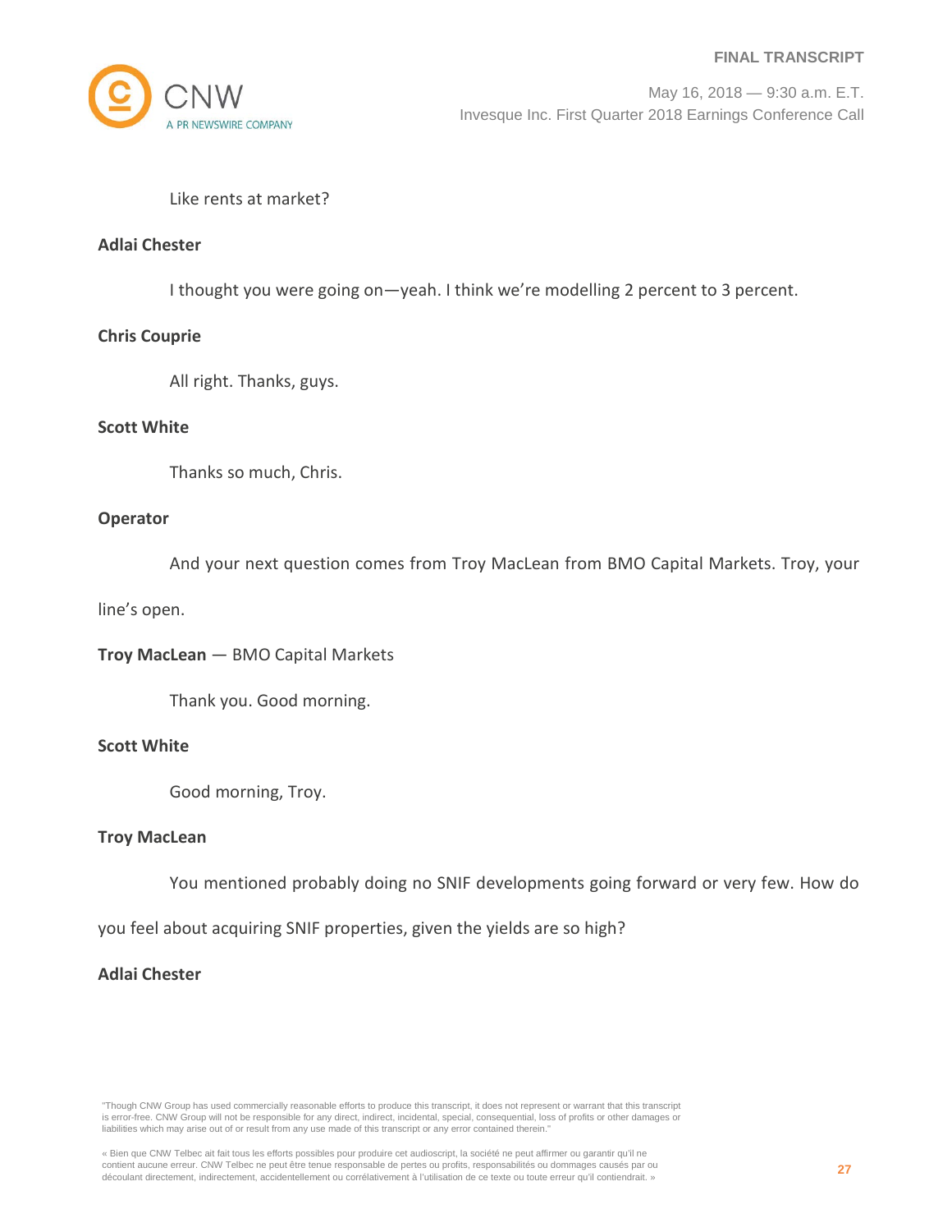

# Like rents at market?

# **Adlai Chester**

I thought you were going on—yeah. I think we're modelling 2 percent to 3 percent.

# **Chris Couprie**

All right. Thanks, guys.

# **Scott White**

Thanks so much, Chris.

# **Operator**

And your next question comes from Troy MacLean from BMO Capital Markets. Troy, your

line's open.

**Troy MacLean** — BMO Capital Markets

Thank you. Good morning.

# **Scott White**

Good morning, Troy.

# **Troy MacLean**

You mentioned probably doing no SNIF developments going forward or very few. How do

you feel about acquiring SNIF properties, given the yields are so high?

# **Adlai Chester**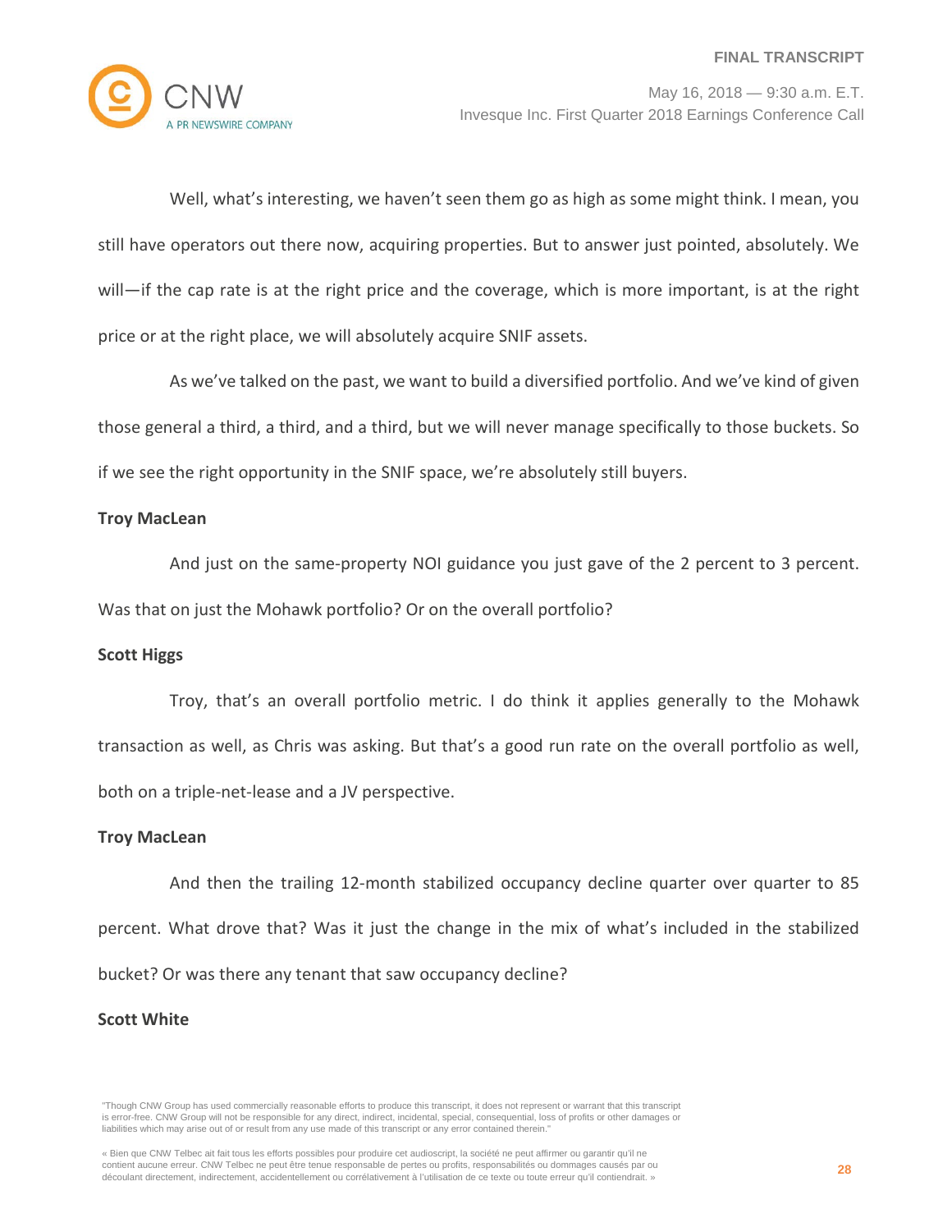

Well, what's interesting, we haven't seen them go as high as some might think. I mean, you still have operators out there now, acquiring properties. But to answer just pointed, absolutely. We will—if the cap rate is at the right price and the coverage, which is more important, is at the right price or at the right place, we will absolutely acquire SNIF assets.

As we've talked on the past, we want to build a diversified portfolio. And we've kind of given those general a third, a third, and a third, but we will never manage specifically to those buckets. So if we see the right opportunity in the SNIF space, we're absolutely still buyers.

# **Troy MacLean**

And just on the same-property NOI guidance you just gave of the 2 percent to 3 percent. Was that on just the Mohawk portfolio? Or on the overall portfolio?

# **Scott Higgs**

Troy, that's an overall portfolio metric. I do think it applies generally to the Mohawk transaction as well, as Chris was asking. But that's a good run rate on the overall portfolio as well, both on a triple-net-lease and a JV perspective.

# **Troy MacLean**

And then the trailing 12-month stabilized occupancy decline quarter over quarter to 85 percent. What drove that? Was it just the change in the mix of what's included in the stabilized bucket? Or was there any tenant that saw occupancy decline?

# **Scott White**

<sup>&</sup>quot;Though CNW Group has used commercially reasonable efforts to produce this transcript, it does not represent or warrant that this transcript is error-free. CNW Group will not be responsible for any direct, indirect, incidental, special, consequential, loss of profits or other damages or liabilities which may arise out of or result from any use made of this transcript or any error contained therein."

<sup>«</sup> Bien que CNW Telbec ait fait tous les efforts possibles pour produire cet audioscript, la société ne peut affirmer ou garantir qu'il ne contient aucune erreur. CNW Telbec ne peut être tenue responsable de pertes ou profits, responsabilités ou dommages causés par ou découlant directement, indirectement, accidentellement ou corrélativement à l'utilisation de ce texte ou toute erreur qu'il contiendrait. »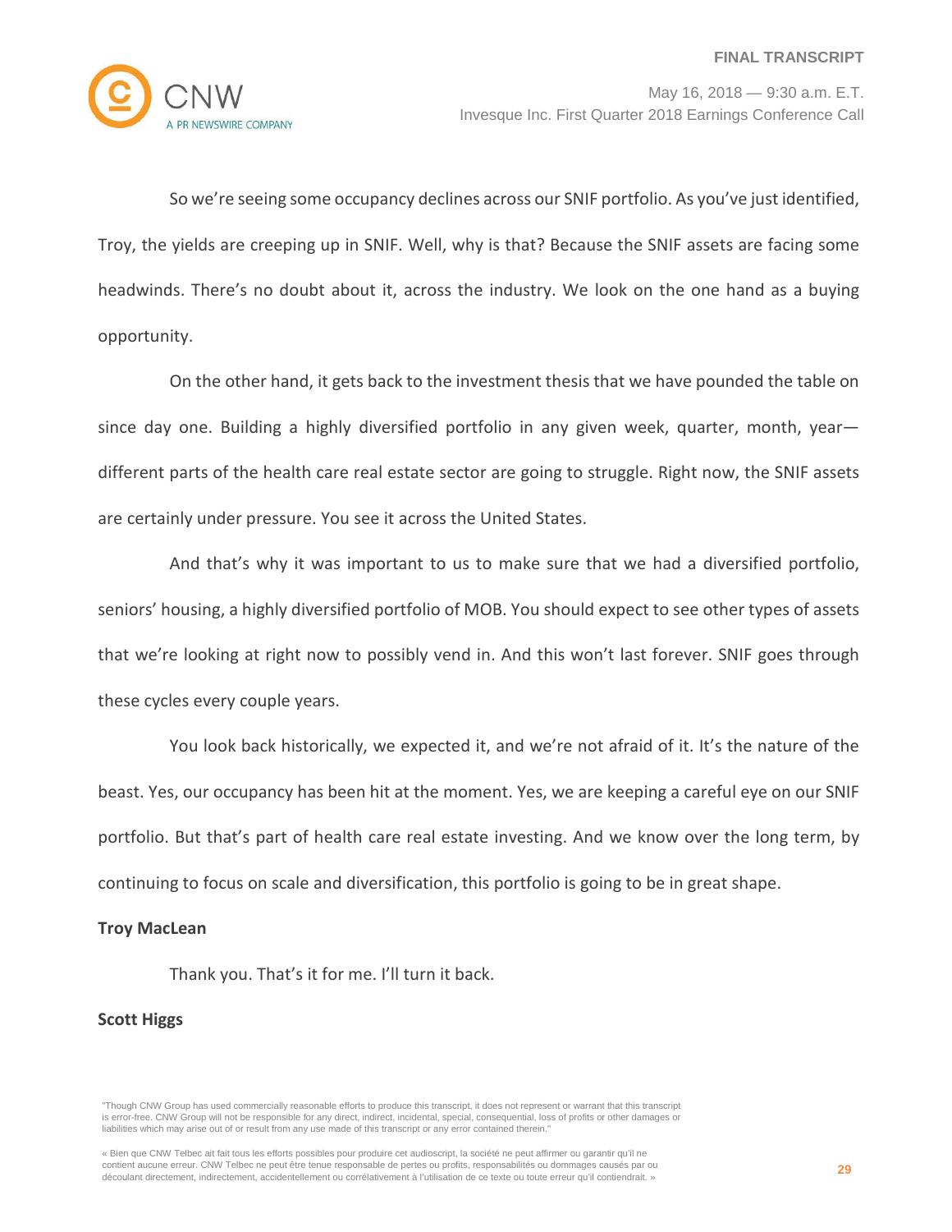

So we're seeing some occupancy declines across our SNIF portfolio. As you've just identified, Troy, the yields are creeping up in SNIF. Well, why is that? Because the SNIF assets are facing some headwinds. There's no doubt about it, across the industry. We look on the one hand as a buying opportunity.

On the other hand, it gets back to the investment thesis that we have pounded the table on since day one. Building a highly diversified portfolio in any given week, quarter, month, yeardifferent parts of the health care real estate sector are going to struggle. Right now, the SNIF assets are certainly under pressure. You see it across the United States.

And that's why it was important to us to make sure that we had a diversified portfolio, seniors' housing, a highly diversified portfolio of MOB. You should expect to see other types of assets that we're looking at right now to possibly vend in. And this won't last forever. SNIF goes through these cycles every couple years.

You look back historically, we expected it, and we're not afraid of it. It's the nature of the beast. Yes, our occupancy has been hit at the moment. Yes, we are keeping a careful eye on our SNIF portfolio. But that's part of health care real estate investing. And we know over the long term, by continuing to focus on scale and diversification, this portfolio is going to be in great shape.

# **Troy MacLean**

Thank you. That's it for me. I'll turn it back.

# **Scott Higgs**

<sup>&</sup>quot;Though CNW Group has used commercially reasonable efforts to produce this transcript, it does not represent or warrant that this transcript is error-free. CNW Group will not be responsible for any direct, indirect, incidental, special, consequential, loss of profits or other damages or liabilities which may arise out of or result from any use made of this transcript or any error contained therein."

<sup>«</sup> Bien que CNW Telbec ait fait tous les efforts possibles pour produire cet audioscript, la société ne peut affirmer ou garantir qu'il ne contient aucune erreur. CNW Telbec ne peut être tenue responsable de pertes ou profits, responsabilités ou dommages causés par ou découlant directement, indirectement, accidentellement ou corrélativement à l'utilisation de ce texte ou toute erreur qu'il contiendrait. »